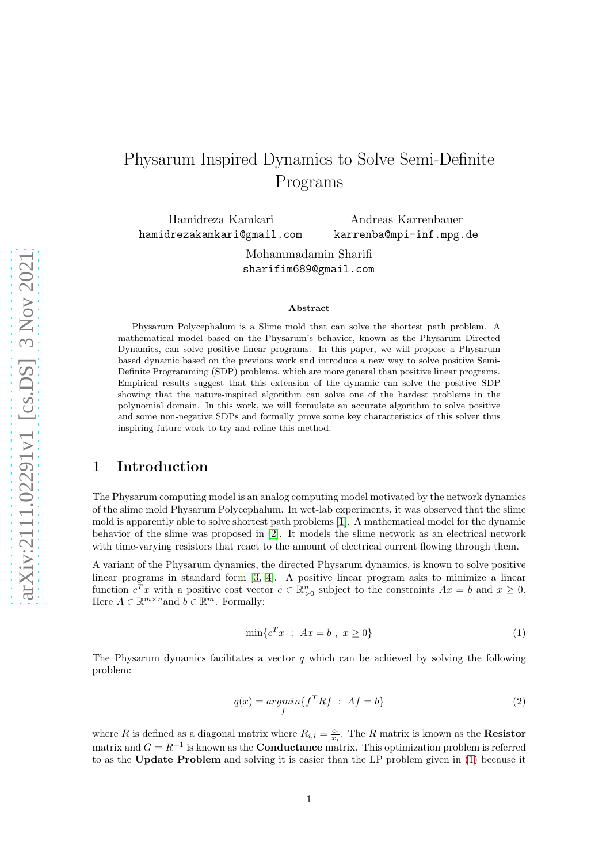# Physarum Inspired Dynamics to Solve Semi-Definite Programs

Hamidreza Kamkari hamidrezakamkari@gmail.com

Andreas Karrenbauer karrenba@mpi-inf.mpg.de

Mohammadamin Sharifi sharifim689@gmail.com

#### Abstract

Physarum Polycephalum is a Slime mold that can solve the shortest path problem. A mathematical model based on the Physarum's behavior, known as the Physarum Directed Dynamics, can solve positive linear programs. In this paper, we will propose a Physarum based dynamic based on the previous work and introduce a new way to solve positive Semi-Definite Programming (SDP) problems, which are more general than positive linear programs. Empirical results suggest that this extension of the dynamic can solve the positive SDP showing that the nature-inspired algorithm can solve one of the hardest problems in the polynomial domain. In this work, we will formulate an accurate algorithm to solve positive and some non-negative SDPs and formally prove some key characteristics of this solver thus inspiring future work to try and refine this method.

# 1 Introduction

The Physarum computing model is an analog computing model motivated by the network dynamics of the slime mold Physarum Polycephalum. In wet-lab experiments, it was observed that the slime mold is apparently able to solve shortest path problems [\[1\]](#page-25-0). A mathematical model for the dynamic behavior of the slime was proposed in [\[2\]](#page-25-1). It models the slime network as an electrical network with time-varying resistors that react to the amount of electrical current flowing through them.

<span id="page-0-0"></span>A variant of the Physarum dynamics, the directed Physarum dynamics, is known to solve positive linear programs in standard form [\[3,](#page-25-2) [4\]](#page-25-3). A positive linear program asks to minimize a linear function  $c^T x$  with a positive cost vector  $c \in \mathbb{R}_{\geq 0}^n$  subject to the constraints  $Ax = b$  and  $x \geq 0$ . Here  $A \in \mathbb{R}^{m \times n}$  and  $b \in \mathbb{R}^m$ . Formally:

$$
\min \{ c^T x \; : \; Ax = b \; , \; x \ge 0 \} \tag{1}
$$

<span id="page-0-1"></span>The Physarum dynamics facilitates a vector  $q$  which can be achieved by solving the following problem:

$$
q(x) = \underset{f}{\operatorname{argmin}} \{ f^T R f : A f = b \}
$$
\n<sup>(2)</sup>

where R is defined as a diagonal matrix where  $R_{i,i} = \frac{c_i}{x_i}$ . The R matrix is known as the **Resistor** matrix and  $G = R^{-1}$  is known as the **Conductance** matrix. This optimization problem is referred to as the Update Problem and solving it is easier than the LP problem given in [\(1\)](#page-0-0) because it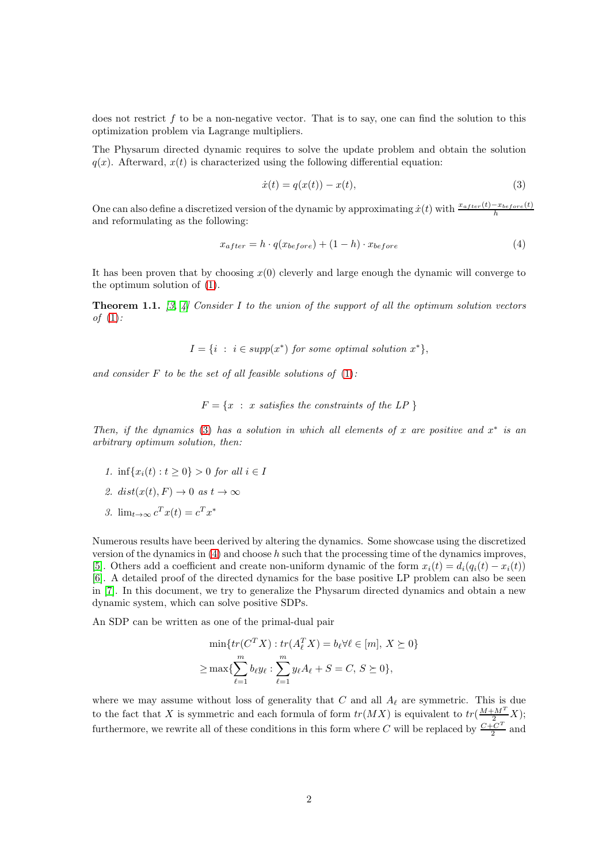does not restrict  $f$  to be a non-negative vector. That is to say, one can find the solution to this optimization problem via Lagrange multipliers.

The Physarum directed dynamic requires to solve the update problem and obtain the solution  $q(x)$ . Afterward,  $x(t)$  is characterized using the following differential equation:

<span id="page-1-1"></span><span id="page-1-0"></span>
$$
\dot{x}(t) = q(x(t)) - x(t),
$$
\n(3)

One can also define a discretized version of the dynamic by approximating  $\dot{x}(t)$  with  $\frac{x_{after}(t)-x_{before}(t)}{h}$ and reformulating as the following:

$$
x_{after} = h \cdot q(x_{before}) + (1 - h) \cdot x_{before}
$$
\n
$$
\tag{4}
$$

It has been proven that by choosing  $x(0)$  cleverly and large enough the dynamic will converge to the optimum solution of [\(1\)](#page-0-0).

<span id="page-1-2"></span>**Theorem 1.1.** [\[3,](#page-25-2) [4\]](#page-25-3) Consider I to the union of the support of all the optimum solution vectors of  $(1)$ :

$$
I = \{ i : i \in supp(x^*) \text{ for some optimal solution } x^* \},
$$

and consider  $F$  to be the set of all feasible solutions of  $(1)$ :

 $F = \{x : x \text{ satisfies the constraints of the LP }\}$ 

Then, if the dynamics [\(3\)](#page-1-0) has a solution in which all elements of x are positive and  $x^*$  is an arbitrary optimum solution, then:

- 1. inf{ $x_i(t) : t \ge 0$ } > 0 for all  $i \in I$
- 2.  $dist(x(t), F) \rightarrow 0$  as  $t \rightarrow \infty$
- 3.  $\lim_{t\to\infty} c^T x(t) = c^T x^*$

Numerous results have been derived by altering the dynamics. Some showcase using the discretized version of the dynamics in  $(4)$  and choose h such that the processing time of the dynamics improves, [\[5\]](#page-25-4). Others add a coefficient and create non-uniform dynamic of the form  $x_i(t) = d_i(q_i(t) - x_i(t))$ [\[6\]](#page-25-5). A detailed proof of the directed dynamics for the base positive LP problem can also be seen in [\[7\]](#page-25-6). In this document, we try to generalize the Physarum directed dynamics and obtain a new dynamic system, which can solve positive SDPs.

An SDP can be written as one of the primal-dual pair

$$
\min\{tr(C^T X) : tr(A_\ell^T X) = b_\ell \forall \ell \in [m], X \succeq 0\}
$$

$$
\geq \max\{\sum_{\ell=1}^m b_\ell y_\ell : \sum_{\ell=1}^m y_\ell A_\ell + S = C, S \succeq 0\},\
$$

where we may assume without loss of generality that C and all  $A_{\ell}$  are symmetric. This is due to the fact that X is symmetric and each formula of form  $tr(MX)$  is equivalent to  $tr(\frac{M+M^T}{2}X);$ furthermore, we rewrite all of these conditions in this form where C will be replaced by  $\frac{C+C^T}{2}$  $rac{C}{2}$  and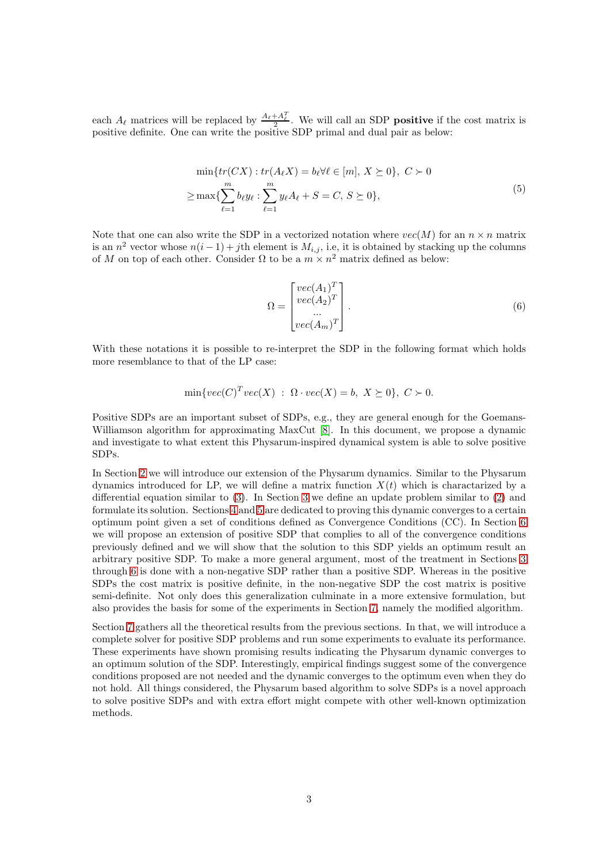<span id="page-2-0"></span>each  $A_{\ell}$  matrices will be replaced by  $\frac{A_{\ell}+A_{\ell}^T}{2}$ . We will call an SDP **positive** if the cost matrix is positive definite. One can write the positive SDP primal and dual pair as below:

$$
\min\{tr(CX) : tr(A_{\ell}X) = b_{\ell}\forall \ell \in [m], X \succeq 0\}, C \succ 0
$$
  

$$
\geq \max\{\sum_{\ell=1}^{m} b_{\ell}y_{\ell} : \sum_{\ell=1}^{m} y_{\ell}A_{\ell} + S = C, S \succeq 0\},
$$
 (5)

Note that one can also write the SDP in a vectorized notation where  $vec(M)$  for an  $n \times n$  matrix is an  $n^2$  vector whose  $n(i-1) + j$ th element is  $M_{i,j}$ , i.e, it is obtained by stacking up the columns of M on top of each other. Consider  $\Omega$  to be a  $m \times n^2$  matrix defined as below:

$$
\Omega = \begin{bmatrix} vec(A_1)^T \\ vec(A_2)^T \\ \dots \\ vec(A_m)^T \end{bmatrix} .
$$
\n(6)

With these notations it is possible to re-interpret the SDP in the following format which holds more resemblance to that of the LP case:

$$
\min\{vec(C)^Tvec(X) \ : \ \Omega \cdot vec(X) = b, \ X \succeq 0\}, \ C \succ 0.
$$

Positive SDPs are an important subset of SDPs, e.g., they are general enough for the Goemans-Williamson algorithm for approximating MaxCut [\[8\]](#page-25-7). In this document, we propose a dynamic and investigate to what extent this Physarum-inspired dynamical system is able to solve positive SDPs.

In Section [2](#page-3-0) we will introduce our extension of the Physarum dynamics. Similar to the Physarum dynamics introduced for LP, we will define a matrix function  $X(t)$  which is charactarized by a differential equation similar to [\(3\)](#page-1-0). In Section [3](#page-4-0) we define an update problem similar to [\(2\)](#page-0-1) and formulate its solution. Sections [4](#page-11-0) and [5](#page-13-0) are dedicated to proving this dynamic converges to a certain optimum point given a set of conditions defined as Convergence Conditions (CC). In Section [6](#page-16-0) we will propose an extension of positive SDP that complies to all of the convergence conditions previously defined and we will show that the solution to this SDP yields an optimum result an arbitrary positive SDP. To make a more general argument, most of the treatment in Sections [3](#page-4-0) through [6](#page-16-0) is done with a non-negative SDP rather than a positive SDP. Whereas in the positive SDPs the cost matrix is positive definite, in the non-negative SDP the cost matrix is positive semi-definite. Not only does this generalization culminate in a more extensive formulation, but also provides the basis for some of the experiments in Section [7,](#page-19-0) namely the modified algorithm.

Section [7](#page-19-0) gathers all the theoretical results from the previous sections. In that, we will introduce a complete solver for positive SDP problems and run some experiments to evaluate its performance. These experiments have shown promising results indicating the Physarum dynamic converges to an optimum solution of the SDP. Interestingly, empirical findings suggest some of the convergence conditions proposed are not needed and the dynamic converges to the optimum even when they do not hold. All things considered, the Physarum based algorithm to solve SDPs is a novel approach to solve positive SDPs and with extra effort might compete with other well-known optimization methods.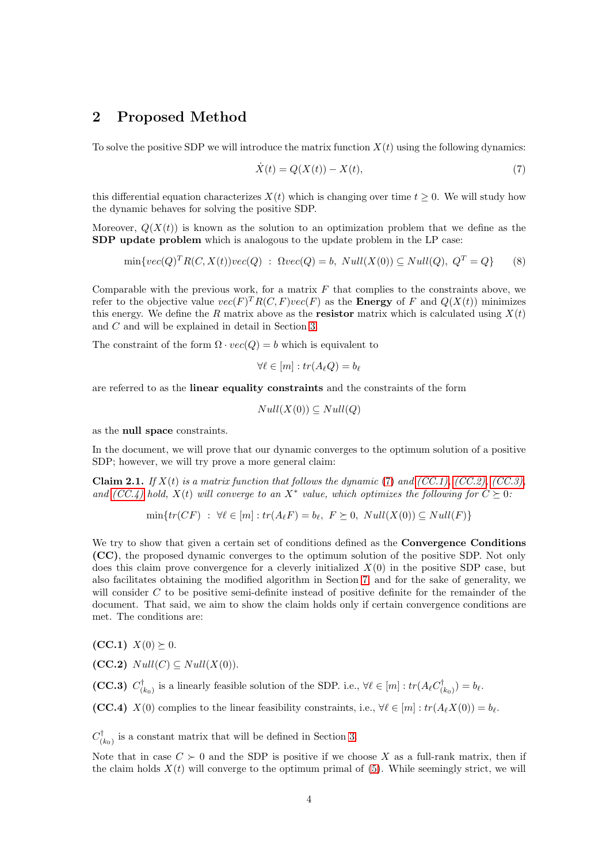# <span id="page-3-0"></span>2 Proposed Method

To solve the positive SDP we will introduce the matrix function  $X(t)$  using the following dynamics:

<span id="page-3-6"></span><span id="page-3-1"></span>
$$
\dot{X}(t) = Q(X(t)) - X(t),\tag{7}
$$

this differential equation characterizes  $X(t)$  which is changing over time  $t \geq 0$ . We will study how the dynamic behaves for solving the positive SDP.

Moreover,  $Q(X(t))$  is known as the solution to an optimization problem that we define as the SDP update problem which is analogous to the update problem in the LP case:

$$
\min\{vec(Q)^T R(C, X(t))vec(Q) \; : \; \Omega vec(Q) = b, \; Null(X(0)) \subseteq Null(Q), \; Q^T = Q \} \tag{8}
$$

Comparable with the previous work, for a matrix  $F$  that complies to the constraints above, we refer to the objective value  $vec(F)^T R(C, F)vec(F)$  as the **Energy** of F and  $Q(X(t))$  minimizes this energy. We define the R matrix above as the **resistor** matrix which is calculated using  $X(t)$ and C and will be explained in detail in Section [3.](#page-4-0)

The constraint of the form  $\Omega \cdot vec(Q) = b$  which is equivalent to

$$
\forall \ell \in [m]: tr(A_{\ell}Q) = b_{\ell}
$$

are referred to as the linear equality constraints and the constraints of the form

$$
Null(X(0)) \subseteq Null(Q)
$$

as the null space constraints.

In the document, we will prove that our dynamic converges to the optimum solution of a positive SDP; however, we will try prove a more general claim:

<span id="page-3-7"></span>**Claim 2.1.** If  $X(t)$  is a matrix function that follows the dynamic [\(7\)](#page-3-1) and [\(CC.1\),](#page-3-2) [\(CC.2\),](#page-3-3) [\(CC.3\),](#page-3-4) and [\(CC.4\)](#page-3-5) hold,  $X(t)$  will converge to an  $X^*$  value, which optimizes the following for  $C \succeq 0$ :

$$
\min\{tr(CF) : \forall \ell \in [m] : tr(A_{\ell}F) = b_{\ell}, F \succeq 0, Null(X(0)) \subseteq Null(F)\}
$$

We try to show that given a certain set of conditions defined as the **Convergence Conditions** (CC), the proposed dynamic converges to the optimum solution of the positive SDP. Not only does this claim prove convergence for a cleverly initialized  $X(0)$  in the positive SDP case, but also facilitates obtaining the modified algorithm in Section [7,](#page-19-0) and for the sake of generality, we will consider C to be positive semi-definite instead of positive definite for the remainder of the document. That said, we aim to show the claim holds only if certain convergence conditions are met. The conditions are:

<span id="page-3-2"></span> $(CC.1)$   $X(0) \succeq 0$ .

<span id="page-3-3"></span>(CC.2)  $Null(C) \subseteq Null(X(0)).$ 

<span id="page-3-4"></span>(CC.3)  $C^{\dagger}_{\epsilon}$  $(\vec{k}_0)$  is a linearly feasible solution of the SDP. i.e.,  $\forall \ell \in [m]: tr(A_{\ell}C_{(i)}^{\dagger})$  $\binom{1}{k_0} = b_\ell.$ 

<span id="page-3-5"></span>(CC.4)  $X(0)$  complies to the linear feasibility constraints, i.e.,  $\forall \ell \in [m]: tr(A_{\ell}X(0)) = b_{\ell}$ .

 $C_{C}^{\dagger}$  $\binom{[t]}{[k_0]}$  is a constant matrix that will be defined in Section [3.](#page-4-0)

Note that in case  $C \succ 0$  and the SDP is positive if we choose X as a full-rank matrix, then if the claim holds  $X(t)$  will converge to the optimum primal of [\(5\)](#page-2-0). While seemingly strict, we will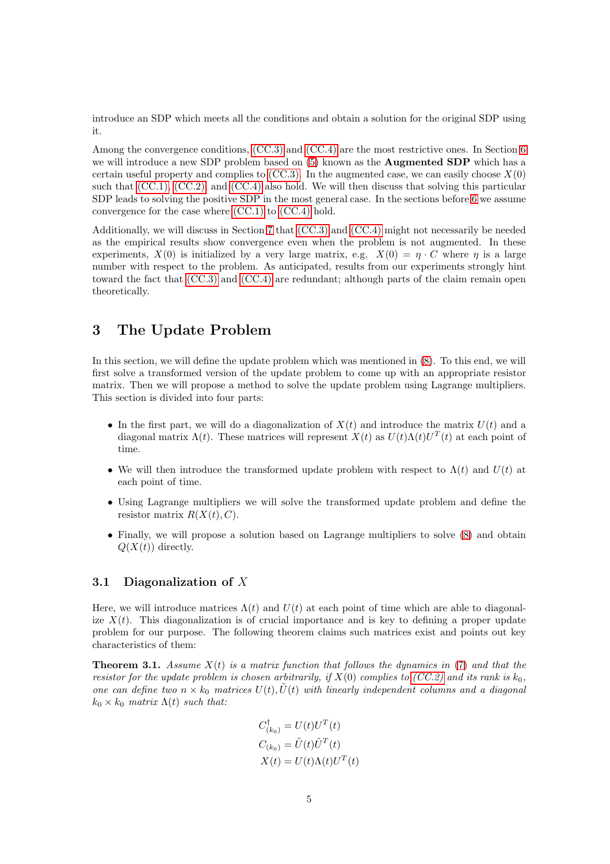introduce an SDP which meets all the conditions and obtain a solution for the original SDP using it.

Among the convergence conditions, [\(CC.3\)](#page-3-4) and [\(CC.4\)](#page-3-5) are the most restrictive ones. In Section [6](#page-16-0) we will introduce a new SDP problem based on [\(5\)](#page-2-0) known as the **Augmented SDP** which has a certain useful property and complies to  $(CC.3)$ . In the augmented case, we can easily choose  $X(0)$ such that [\(CC.1\),](#page-3-2) [\(CC.2\),](#page-3-3) and [\(CC.4\)](#page-3-5) also hold. We will then discuss that solving this particular SDP leads to solving the positive SDP in the most general case. In the sections before [6](#page-16-0) we assume convergence for the case where [\(CC.1\)](#page-3-2) to [\(CC.4\)](#page-3-5) hold.

Additionally, we will discuss in Section [7](#page-19-0) that [\(CC.3\)](#page-3-4) and [\(CC.4\)](#page-3-5) might not necessarily be needed as the empirical results show convergence even when the problem is not augmented. In these experiments,  $X(0)$  is initialized by a very large matrix, e.g.  $X(0) = \eta \cdot C$  where  $\eta$  is a large number with respect to the problem. As anticipated, results from our experiments strongly hint toward the fact that [\(CC.3\)](#page-3-4) and [\(CC.4\)](#page-3-5) are redundant; although parts of the claim remain open theoretically.

# <span id="page-4-0"></span>3 The Update Problem

In this section, we will define the update problem which was mentioned in [\(8\)](#page-3-6). To this end, we will first solve a transformed version of the update problem to come up with an appropriate resistor matrix. Then we will propose a method to solve the update problem using Lagrange multipliers. This section is divided into four parts:

- In the first part, we will do a diagonalization of  $X(t)$  and introduce the matrix  $U(t)$  and a diagonal matrix  $\Lambda(t)$ . These matrices will represent  $X(t)$  as  $U(t)\Lambda(t)U^{T}(t)$  at each point of time.
- We will then introduce the transformed update problem with respect to  $\Lambda(t)$  and  $U(t)$  at each point of time.
- Using Lagrange multipliers we will solve the transformed update problem and define the resistor matrix  $R(X(t), C)$ .
- Finally, we will propose a solution based on Lagrange multipliers to solve [\(8\)](#page-3-6) and obtain  $Q(X(t))$  directly.

### 3.1 Diagonalization of X

Here, we will introduce matrices  $\Lambda(t)$  and  $U(t)$  at each point of time which are able to diagonalize  $X(t)$ . This diagonalization is of crucial importance and is key to defining a proper update problem for our purpose. The following theorem claims such matrices exist and points out key characteristics of them:

<span id="page-4-1"></span>**Theorem 3.1.** Assume  $X(t)$  is a matrix function that follows the dynamics in [\(7\)](#page-3-1) and that the resistor for the update problem is chosen arbitrarily, if  $X(0)$  complies to [\(CC.2\)](#page-3-3) and its rank is  $k_0$ , one can define two  $n \times k_0$  matrices  $U(t)$ ,  $\tilde{U}(t)$  with linearly independent columns and a diagonal  $k_0 \times k_0$  matrix  $\Lambda(t)$  such that:

$$
C_{(k_0)}^{\dagger} = U(t)U^T(t)
$$
  
\n
$$
C_{(k_0)} = \tilde{U}(t)\tilde{U}^T(t)
$$
  
\n
$$
X(t) = U(t)\Lambda(t)U^T(t)
$$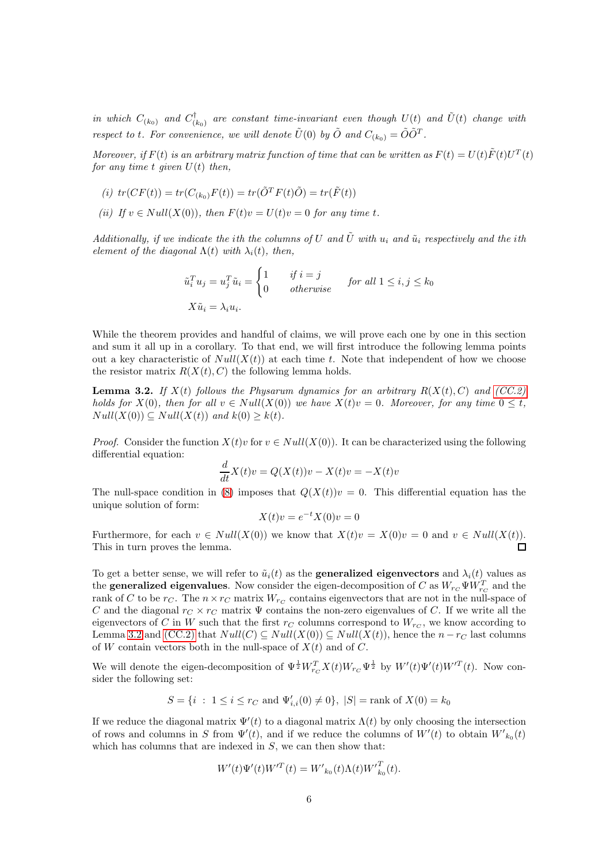in which  $C_{(k_0)}$  and  $C_0^{\dagger}$  $\tilde{U}^{\dagger}_{(k_0)}$  are constant time-invariant even though  $U(t)$  and  $\tilde{U}(t)$  change with respect to t. For convenience, we will denote  $\tilde{U}(0)$  by  $\tilde{O}$  and  $C_{(k_0)} = \tilde{O}\tilde{O}^T$ .

Moreover, if  $F(t)$  is an arbitrary matrix function of time that can be written as  $F(t) = U(t)\tilde{F}(t)U^{T}(t)$ for any time t given  $U(t)$  then,

(i) 
$$
tr(CF(t)) = tr(C_{(k_0)}F(t)) = tr(\tilde{O}^T F(t)\tilde{O}) = tr(\tilde{F}(t))
$$

(ii) If  $v \in Null(X(0))$ , then  $F(t)v = U(t)v = 0$  for any time t.

Additionally, if we indicate the ith the columns of U and  $\tilde{U}$  with  $u_i$  and  $\tilde{u}_i$  respectively and the ith element of the diagonal  $\Lambda(t)$  with  $\lambda_i(t)$ , then,

$$
\tilde{u}_i^T u_j = u_j^T \tilde{u}_i = \begin{cases}\n1 & \text{if } i = j \\
0 & \text{otherwise}\n\end{cases} \quad \text{for all } 1 \le i, j \le k_0
$$
\n
$$
X \tilde{u}_i = \lambda_i u_i.
$$

While the theorem provides and handful of claims, we will prove each one by one in this section and sum it all up in a corollary. To that end, we will first introduce the following lemma points out a key characteristic of  $Null(X(t))$  at each time t. Note that independent of how we choose the resistor matrix  $R(X(t), C)$  the following lemma holds.

<span id="page-5-0"></span>**Lemma 3.2.** If  $X(t)$  follows the Physarum dynamics for an arbitrary  $R(X(t), C)$  and  $(CC.2)$ holds for  $X(0)$ , then for all  $v \in Null(X(0))$  we have  $X(t)v = 0$ . Moreover, for any time  $0 \leq t$ .  $Null(X(0)) \subseteq Null(X(t))$  and  $k(0) \geq k(t)$ .

*Proof.* Consider the function  $X(t)v$  for  $v \in Null(X(0))$ . It can be characterized using the following differential equation:

$$
\frac{d}{dt}X(t)v = Q(X(t))v - X(t)v = -X(t)v
$$

The null-space condition in [\(8\)](#page-3-6) imposes that  $Q(X(t))v = 0$ . This differential equation has the unique solution of form:

$$
X(t)v = e^{-t}X(0)v = 0
$$

Furthermore, for each  $v \in Null(X(0))$  we know that  $X(t)v = X(0)v = 0$  and  $v \in Null(X(t))$ . This in turn proves the lemma. П

To get a better sense, we will refer to  $\tilde{u}_i(t)$  as the **generalized eigenvectors** and  $\lambda_i(t)$  values as the **generalized eigenvalues**. Now consider the eigen-decomposition of C as  $W_{r_C} \Psi W_{r_C}^T$  and the rank of C to be  $r_C$ . The  $n \times r_C$  matrix  $W_{r_C}$  contains eigenvectors that are not in the null-space of C and the diagonal  $r_C \times r_C$  matrix  $\Psi$  contains the non-zero eigenvalues of C. If we write all the eigenvectors of C in W such that the first  $r_C$  columns correspond to  $W_{rc}$ , we know according to Lemma [3.2](#page-5-0) and [\(CC.2\)](#page-3-3) that  $Null(C) \subseteq Null(X(0)) \subseteq Null(X(t))$ , hence the  $n-r_C$  last columns of W contain vectors both in the null-space of  $\hat{X}(t)$  and of C.

We will denote the eigen-decomposition of  $\Psi^{\frac{1}{2}} W_{r_C}^T X(t) W_{r_C} \Psi^{\frac{1}{2}}$  by  $W'(t) \Psi'(t) W'^T(t)$ . Now consider the following set:

$$
S = \{ i : 1 \le i \le r_C \text{ and } \Psi'_{i,i}(0) \neq 0 \}, |S| = \text{rank of } X(0) = k_0
$$

If we reduce the diagonal matrix  $\Psi'(t)$  to a diagonal matrix  $\Lambda(t)$  by only choosing the intersection of rows and columns in S from  $\Psi'(t)$ , and if we reduce the columns of  $W'(t)$  to obtain  $W'_{k_0}(t)$ which has columns that are indexed in  $S$ , we can then show that:

$$
W'(t)\Psi'(t)W'^T(t) = W'_{k_0}(t)\Lambda(t)W'^T_{k_0}(t).
$$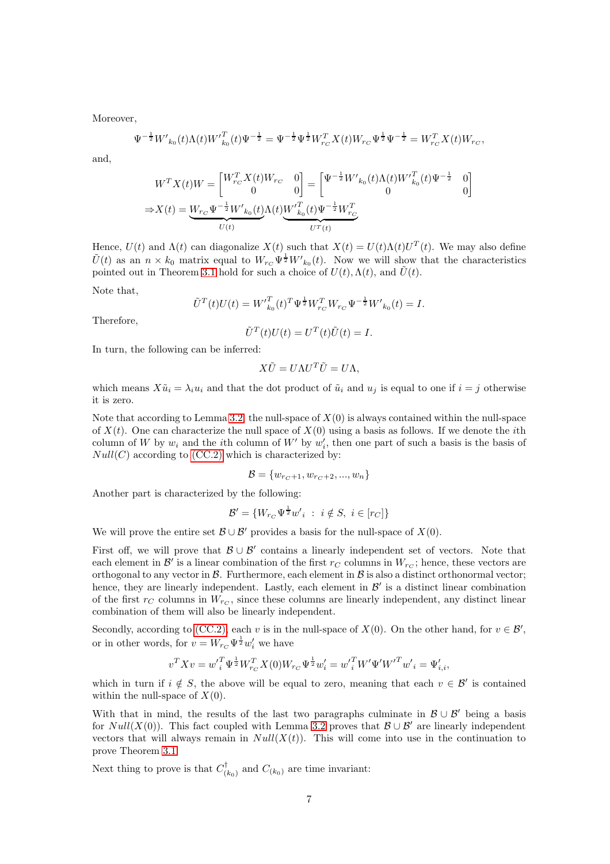Moreover,

$$
\Psi^{-\frac{1}{2}}W'_{k_0}(t)\Lambda(t)W'^{T}_{k_0}(t)\Psi^{-\frac{1}{2}}=\Psi^{-\frac{1}{2}}\Psi^{\frac{1}{2}}W^{T}_{r_C}X(t)W_{r_C}\Psi^{\frac{1}{2}}\Psi^{-\frac{1}{2}}=W^{T}_{r_C}X(t)W_{r_C},
$$

and,

$$
W^{T} X(t) W = \begin{bmatrix} W_{rc}^{T} X(t) W_{rc} & 0 \\ 0 & 0 \end{bmatrix} = \begin{bmatrix} \Psi^{-\frac{1}{2}} W'_{k_0}(t) \Lambda(t) W'_{k_0}^{T}(t) \Psi^{-\frac{1}{2}} & 0 \\ 0 & 0 \end{bmatrix}
$$
  
\n
$$
\Rightarrow X(t) = \underbrace{W_{rc} \Psi^{-\frac{1}{2}} W'_{k_0}(t)}_{U(t)} \Lambda(t) \underbrace{W'_{k_0}^{T}(t) \Psi^{-\frac{1}{2}} W_{rc}^{T}}_{U^{T}(t)}
$$

Hence,  $U(t)$  and  $\Lambda(t)$  can diagonalize  $X(t)$  such that  $X(t) = U(t)\Lambda(t)U^{T}(t)$ . We may also define  $\tilde{U}(t)$  as an  $n \times k_0$  matrix equal to  $W_{r_C} \Psi^{\frac{1}{2}} W'_{k_0}(t)$ . Now we will show that the characteristics pointed out in Theorem [3.1](#page-4-1) hold for such a choice of  $U(t)$ ,  $\Lambda(t)$ , and  $\tilde{U}(t)$ .

Note that,

$$
\tilde{U}^T(t)U(t) = W'_{k_0}^T(t)^T \Psi^{\frac{1}{2}} W_{r_C}^T W_{r_C} \Psi^{-\frac{1}{2}} W'_{k_0}(t) = I.
$$

Therefore,

$$
\tilde{U}^T(t)U(t) = U^T(t)\tilde{U}(t) = I.
$$

In turn, the following can be inferred:

$$
X\tilde{U} = U\Lambda U^T \tilde{U} = U\Lambda,
$$

which means  $X\tilde{u}_i = \lambda_i u_i$  and that the dot product of  $\tilde{u}_i$  and  $u_j$  is equal to one if  $i = j$  otherwise it is zero.

Note that according to Lemma [3.2,](#page-5-0) the null-space of  $X(0)$  is always contained within the null-space of  $X(t)$ . One can characterize the null space of  $X(0)$  using a basis as follows. If we denote the *i*th column of W by  $w_i$  and the *i*th column of W' by  $w'_i$ , then one part of such a basis is the basis of  $Null(C)$  according to  $(CC.2)$  which is characterized by:

$$
\mathcal{B} = \{w_{rc+1}, w_{rc+2}, ..., w_n\}
$$

Another part is characterized by the following:

$$
\mathcal{B}' = \{W_{r_C}\Psi^{\frac{1}{2}}w'_{i} \ : \ i \notin S, \ i \in [r_C]\}
$$

We will prove the entire set  $\mathcal{B} \cup \mathcal{B}'$  provides a basis for the null-space of  $X(0)$ .

First off, we will prove that  $\mathcal{B} \cup \mathcal{B}'$  contains a linearly independent set of vectors. Note that each element in  $\mathcal{B}'$  is a linear combination of the first  $r_C$  columns in  $W_{r_C}$ ; hence, these vectors are orthogonal to any vector in  $\mathcal{B}$ . Furthermore, each element in  $\mathcal{B}$  is also a distinct orthonormal vector; hence, they are linearly independent. Lastly, each element in  $\mathcal{B}'$  is a distinct linear combination of the first  $r_C$  columns in  $W_{rc}$ , since these columns are linearly independent, any distinct linear combination of them will also be linearly independent.

Secondly, according to [\(CC.2\),](#page-3-3) each v is in the null-space of  $X(0)$ . On the other hand, for  $v \in \mathcal{B}'$ , or in other words, for  $v = W_{rC} \Psi^{\frac{1}{2}} w_i'$  we have

$$
v^T X v = w'_{i}^T \Psi^{\frac{1}{2}} W_{rc}^T X(0) W_{rc} \Psi^{\frac{1}{2}} w'_{i} = w'_{i}^T W' \Psi' W' {T w'_{i}} = \Psi'_{i,i},
$$

which in turn if  $i \notin S$ , the above will be equal to zero, meaning that each  $v \in \mathcal{B}'$  is contained within the null-space of  $X(0)$ .

With that in mind, the results of the last two paragraphs culminate in  $\mathcal{B} \cup \mathcal{B}'$  being a basis for  $Null(X(0))$ . This fact coupled with Lemma [3.2](#page-5-0) proves that  $\mathcal{B} \cup \mathcal{B}'$  are linearly independent vectors that will always remain in  $Null(X(t))$ . This will come into use in the continuation to prove Theorem [3.1.](#page-4-1)

Next thing to prove is that  $C_{\alpha}^{\dagger}$  $\binom{d}{k_0}$  and  $C_{(k_0)}$  are time invariant: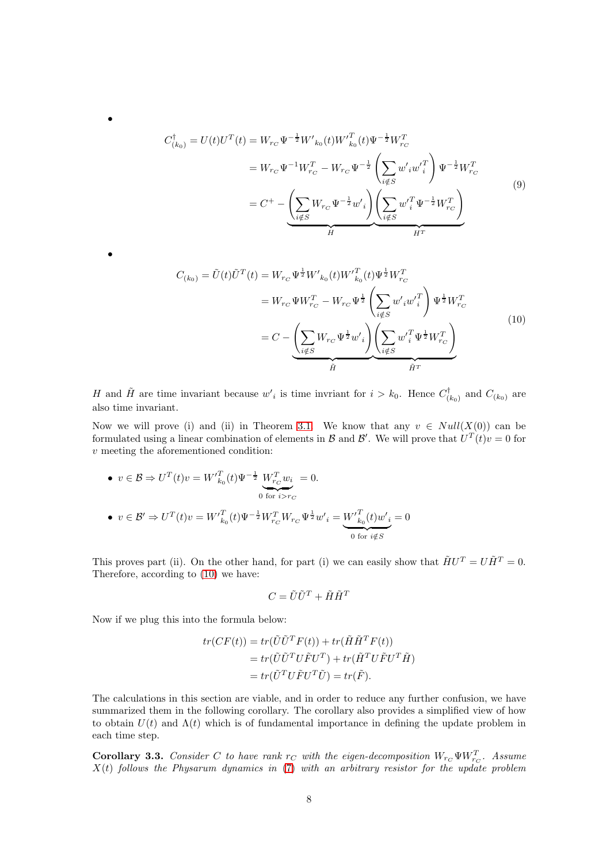$$
C_{(k_0)}^{\dagger} = U(t)U^{T}(t) = W_{rc} \Psi^{-\frac{1}{2}} W'_{k_0}(t) W'^{T}_{k_0}(t) \Psi^{-\frac{1}{2}} W^{T}_{rc}
$$
  
\n
$$
= W_{rc} \Psi^{-1} W^{T}_{rc} - W_{rc} \Psi^{-\frac{1}{2}} \left( \sum_{i \notin S} w'_{i} w'^{T}_{i} \right) \Psi^{-\frac{1}{2}} W^{T}_{rc}
$$
  
\n
$$
= C^{+} - \left( \sum_{i \notin S} W_{rc} \Psi^{-\frac{1}{2}} w'_{i} \right) \left( \sum_{i \notin S} w'^{T}_{i} \Psi^{-\frac{1}{2}} W^{T}_{rc} \right)
$$
  
\n(9)

$$
C_{(k_0)} = \tilde{U}(t)\tilde{U}^T(t) = W_{rc} \Psi^{\frac{1}{2}} W'_{k_0}(t) W'_{k_0}^T(t) \Psi^{\frac{1}{2}} W_{rc}^T
$$
  

$$
= W_{rc} \Psi W_{rc}^T - W_{rc} \Psi^{\frac{1}{2}} \left( \sum_{i \notin S} w'_{i} w'_{i}^T \right) \Psi^{\frac{1}{2}} W_{rc}^T
$$
  

$$
= C - \left( \sum_{i \notin S} W_{rc} \Psi^{\frac{1}{2}} w'_{i} \right) \left( \sum_{i \notin S} w'_{i} \Psi^{\frac{1}{2}} W_{rc}^T \right)
$$
  

$$
\tilde{H} \overline{H}^T
$$
 (10)

H and  $\tilde{H}$  are time invariant because  $w'_{i}$  is time invriant for  $i > k_0$ . Hence  $C_{i}^{\dagger}$  $\binom{[t]}{(k_0)}$  and  $C_{(k_0)}$  are also time invariant.

Now we will prove (i) and (ii) in Theorem [3.1.](#page-4-1) We know that any  $v \in Null(X(0))$  can be formulated using a linear combination of elements in  $\mathcal{B}$  and  $\mathcal{B}'$ . We will prove that  $U^T(t)v = 0$  for v meeting the aforementioned condition:

\n- \n
$$
v \in \mathcal{B} \Rightarrow U^T(t)v = W'^T_{k_0}(t)\Psi^{-\frac{1}{2}}\underbrace{W^T_{rc}w_i}_{0 \text{ for } i > rc} = 0.
$$
\n
\n- \n
$$
v \in \mathcal{B}' \Rightarrow U^T(t)v = W'^T_{k_0}(t)\Psi^{-\frac{1}{2}}W^T_{rc}W_{rc}\Psi^{\frac{1}{2}}w'_i = \underbrace{W'^T_{k_0}(t)w'_i}_{0 \text{ for } i \notin \mathcal{S}} = 0
$$
\n
\n

This proves part (ii). On the other hand, for part (i) we can easily show that  $\tilde{H}U^{T} = U\tilde{H}^{T} = 0$ . Therefore, according to [\(10\)](#page-7-0) we have:

$$
C = \tilde{U}\tilde{U}^T + \tilde{H}\tilde{H}^T
$$

Now if we plug this into the formula below:

•

<span id="page-7-0"></span>•

$$
tr(CF(t)) = tr(\tilde{U}\tilde{U}^T F(t)) + tr(\tilde{H}\tilde{H}^T F(t))
$$
  
= 
$$
tr(\tilde{U}\tilde{U}^T U \tilde{F} U^T) + tr(\tilde{H}^T U \tilde{F} U^T \tilde{H})
$$
  
= 
$$
tr(\tilde{U}^T U \tilde{F} U^T \tilde{U}) = tr(\tilde{F}).
$$

The calculations in this section are viable, and in order to reduce any further confusion, we have summarized them in the following corollary. The corollary also provides a simplified view of how to obtain  $U(t)$  and  $\Lambda(t)$  which is of fundamental importance in defining the update problem in each time step.

<span id="page-7-1"></span>**Corollary 3.3.** Consider C to have rank  $r_C$  with the eigen-decomposition  $W_{r_C} \Psi W_{r_C}^T$ . Assume  $X(t)$  follows the Physarum dynamics in  $(7)$  with an arbitrary resistor for the update problem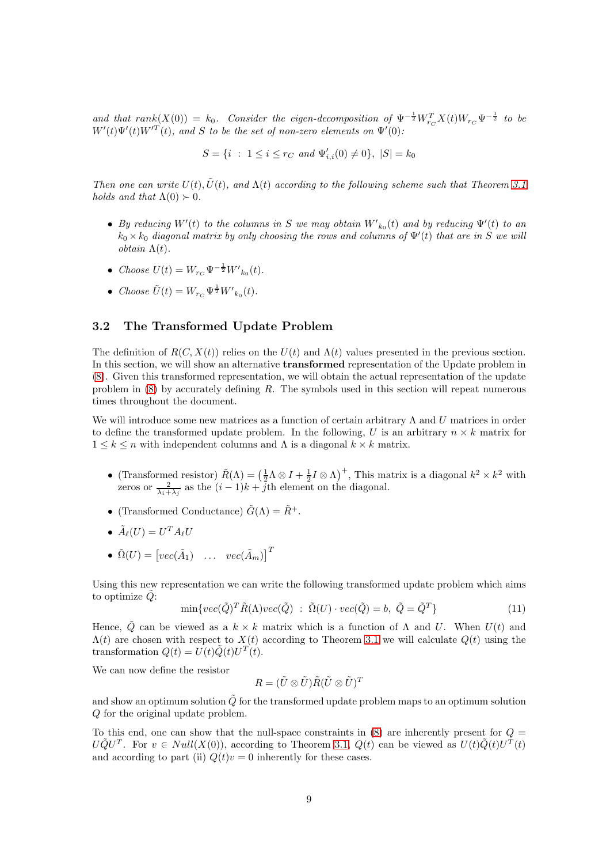and that  $rank(X(0)) = k_0$ . Consider the eigen-decomposition of  $\Psi^{-\frac{1}{2}} W_{r_C}^T X(t) W_{r_C} \Psi^{-\frac{1}{2}}$  to be  $W'(t)\Psi'(t)W'^T(t)$ , and S to be the set of non-zero elements on  $\Psi'(0)$ :

 $S = \{i : 1 \le i \le r_C \text{ and } \Psi'_{i,i}(0) \neq 0\}, |S| = k_0$ 

Then one can write  $U(t)$ ,  $\tilde{U}(t)$ , and  $\Lambda(t)$  according to the following scheme such that Theorem [3.1](#page-4-1) holds and that  $\Lambda(0) > 0$ .

- By reducing  $W'(t)$  to the columns in S we may obtain  $W'_{k_0}(t)$  and by reducing  $\Psi'(t)$  to an  $k_0 \times k_0$  diagonal matrix by only choosing the rows and columns of  $\Psi'(t)$  that are in S we will obtain Λ(t).
- Choose  $U(t) = W_{r_C} \Psi^{-\frac{1}{2}} W'_{k_0}(t)$ .
- Choose  $\tilde{U}(t) = W_{r_C} \Psi^{\frac{1}{2}} W'_{k_0}(t)$ .

### 3.2 The Transformed Update Problem

The definition of  $R(C, X(t))$  relies on the  $U(t)$  and  $\Lambda(t)$  values presented in the previous section. In this section, we will show an alternative transformed representation of the Update problem in [\(8\)](#page-3-6). Given this transformed representation, we will obtain the actual representation of the update problem in  $(8)$  by accurately defining R. The symbols used in this section will repeat numerous times throughout the document.

We will introduce some new matrices as a function of certain arbitrary  $\Lambda$  and U matrices in order to define the transformed update problem. In the following, U is an arbitrary  $n \times k$  matrix for  $1 \leq k \leq n$  with independent columns and  $\Lambda$  is a diagonal  $k \times k$  matrix.

- (Transformed resistor)  $\tilde{R}(\Lambda) = (\frac{1}{2}\Lambda \otimes I + \frac{1}{2}I \otimes \Lambda)^+$ , This matrix is a diagonal  $k^2 \times k^2$  with zeros or  $\frac{2}{\lambda_i + \lambda_j}$  as the  $(i - 1)k + j$ th element on the diagonal.
- (Transformed Conductance)  $\tilde{G}(\Lambda) = \tilde{R}^+$ .
- $\tilde{A}_{\ell}(U) = U^T A_{\ell} U$
- $\tilde{\Omega}(U) = \begin{bmatrix} vec(\tilde{A}_1) & \dots & vec(\tilde{A}_m) \end{bmatrix}^T$

Using this new representation we can write the following transformed update problem which aims to optimize  $\ddot{Q}$ :

<span id="page-8-0"></span>
$$
\min\{vec(\tilde{Q})^T \tilde{R}(\Lambda)vec(\tilde{Q}) \; : \; \tilde{\Omega}(U) \cdot vec(\tilde{Q}) = b, \; \tilde{Q} = \tilde{Q}^T \}
$$
\n(11)

Hence,  $\tilde{Q}$  can be viewed as a  $k \times k$  matrix which is a function of  $\Lambda$  and U. When  $U(t)$  and  $\Lambda(t)$  are chosen with respect to  $X(t)$  according to Theorem [3.1](#page-4-1) we will calculate  $Q(t)$  using the transformation  $Q(t) = U(t)\tilde{Q}(t)U^{T}(t)$ .

We can now define the resistor

$$
R = (\tilde{U} \otimes \tilde{U}) \tilde{R} (\tilde{U} \otimes \tilde{U})^T
$$

and show an optimum solution  $\tilde{Q}$  for the transformed update problem maps to an optimum solution Q for the original update problem.

To this end, one can show that the null-space constraints in  $(8)$  are inherently present for  $Q =$  $U\tilde{Q}U^{T}$ . For  $v \in Null(X(0))$ , according to Theorem [3.1,](#page-4-1)  $Q(t)$  can be viewed as  $U(t)\tilde{Q}(t)U^{T}(t)$ and according to part (ii)  $Q(t)v = 0$  inherently for these cases.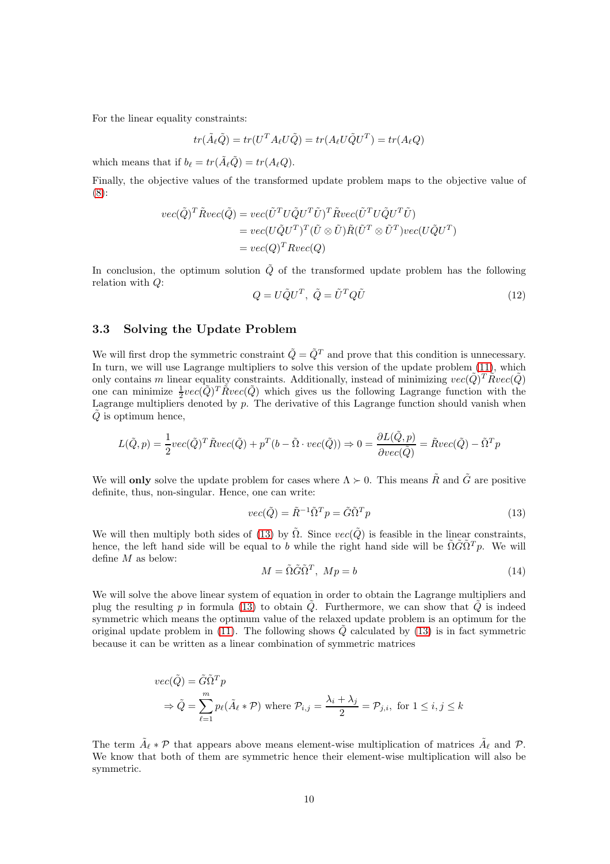For the linear equality constraints:

$$
tr(\tilde{A}_{\ell}\tilde{Q}) = tr(U^T A_{\ell} U \tilde{Q}) = tr(A_{\ell} U \tilde{Q} U^T) = tr(A_{\ell} Q)
$$

which means that if  $b_{\ell} = tr(\tilde{A}_{\ell}\tilde{Q}) = tr(A_{\ell}Q)$ .

Finally, the objective values of the transformed update problem maps to the objective value of [\(8\)](#page-3-6):

<span id="page-9-1"></span>
$$
vec(\tilde{Q})^T \tilde{R} vec(\tilde{Q}) = vec(\tilde{U}^T U \tilde{Q} U^T \tilde{U})^T \tilde{R} vec(\tilde{U}^T U \tilde{Q} U^T \tilde{U})
$$
  
= 
$$
vec(U \tilde{Q} U^T)^T (\tilde{U} \otimes \tilde{U}) \tilde{R} (\tilde{U}^T \otimes \tilde{U}^T) vec(U \tilde{Q} U^T)
$$
  
= 
$$
vec(Q)^T R vec(Q)
$$

In conclusion, the optimum solution  $\tilde{Q}$  of the transformed update problem has the following relation with Q:

$$
Q = U\tilde{Q}U^T, \ \tilde{Q} = \tilde{U}^T Q \tilde{U}
$$
\n<sup>(12)</sup>

### 3.3 Solving the Update Problem

We will first drop the symmetric constraint  $\tilde{Q} = \tilde{Q}^T$  and prove that this condition is unnecessary. In turn, we will use Lagrange multipliers to solve this version of the update problem  $(11)$ , which only contains m linear equality constraints. Additionally, instead of minimizing  $vec(\tilde{Q})^T \tilde{R}vec(\tilde{Q})$ one can minimize  $\frac{1}{2}vec(\tilde{Q})^T \tilde{R}vec(\tilde{Q})$  which gives us the following Lagrange function with the Lagrange multipliers denoted by  $p$ . The derivative of this Lagrange function should vanish when  $\ddot{Q}$  is optimum hence,

$$
L(\tilde{Q}, p) = \frac{1}{2}vec(\tilde{Q})^T \tilde{R}vec(\tilde{Q}) + p^T(b - \tilde{\Omega} \cdot vec(\tilde{Q})) \Rightarrow 0 = \frac{\partial L(\tilde{Q}, p)}{\partial vec(\tilde{Q})} = \tilde{R}vec(\tilde{Q}) - \tilde{\Omega}^T p
$$

We will **only** solve the update problem for cases where  $\Lambda \succ 0$ . This means  $\tilde{R}$  and  $\tilde{G}$  are positive definite, thus, non-singular. Hence, one can write:

<span id="page-9-2"></span><span id="page-9-0"></span>
$$
vec(\tilde{Q}) = \tilde{R}^{-1} \tilde{\Omega}^T p = \tilde{G} \tilde{\Omega}^T p \tag{13}
$$

We will then multiply both sides of [\(13\)](#page-9-0) by  $\tilde{\Omega}$ . Since  $vec(\tilde{Q})$  is feasible in the linear constraints, hence, the left hand side will be equal to b while the right hand side will be  $\tilde{\Omega} \tilde{G} \tilde{\Omega}^T p$ . We will define M as below:

$$
M = \tilde{\Omega}\tilde{G}\tilde{\Omega}^T, \ Mp = b \tag{14}
$$

We will solve the above linear system of equation in order to obtain the Lagrange multipliers and plug the resulting p in formula [\(13\)](#page-9-0) to obtain  $\tilde{Q}$ . Furthermore, we can show that  $\tilde{Q}$  is indeed symmetric which means the optimum value of the relaxed update problem is an optimum for the original update problem in [\(11\)](#page-8-0). The following shows  $\dot{Q}$  calculated by [\(13\)](#page-9-0) is in fact symmetric because it can be written as a linear combination of symmetric matrices

$$
vec(\tilde{Q}) = \tilde{G}\tilde{\Omega}^T p
$$
  
\n
$$
\Rightarrow \tilde{Q} = \sum_{\ell=1}^m p_\ell(\tilde{A}_\ell * \mathcal{P}) \text{ where } \mathcal{P}_{i,j} = \frac{\lambda_i + \lambda_j}{2} = \mathcal{P}_{j,i}, \text{ for } 1 \le i, j \le k
$$

The term  $\tilde{A}_{\ell} * \mathcal{P}$  that appears above means element-wise multiplication of matrices  $\tilde{A}_{\ell}$  and  $\mathcal{P}$ . We know that both of them are symmetric hence their element-wise multiplication will also be symmetric.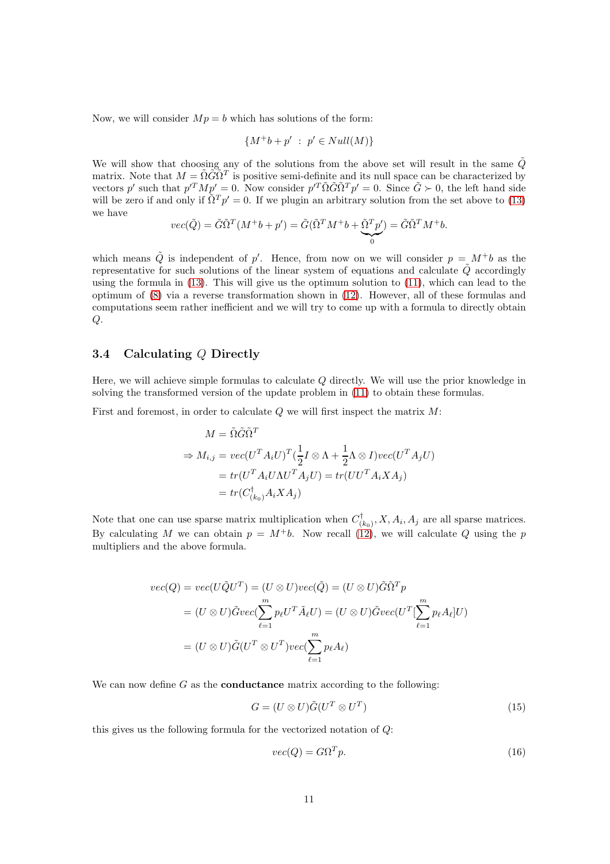Now, we will consider  $Mp = b$  which has solutions of the form:

$$
\{M^+b + p' \; : \; p' \in Null(M)\}
$$

We will show that choosing any of the solutions from the above set will result in the same  $\tilde{Q}$ matrix. Note that  $M = \tilde{\Omega} \tilde{G} \tilde{\Omega}^T$  is positive semi-definite and its null space can be characterized by vectors p' such that  $p^T M p' = 0$ . Now consider  $p^T \tilde{\Omega} \tilde{G} \tilde{\Omega}^T p' = 0$ . Since  $\tilde{G} \succ 0$ , the left hand side will be zero if and only if  $\tilde{\Omega}^T p' = 0$ . If we plugin an arbitrary solution from the set above to [\(13\)](#page-9-0) we have

$$
vec(\tilde{Q}) = \tilde{G}\tilde{\Omega}^T(M^+b + p') = \tilde{G}(\tilde{\Omega}^T M^+b + \tilde{\Omega}^T p') = \tilde{G}\tilde{\Omega}^T M^+b.
$$

which means  $\tilde{Q}$  is independent of p'. Hence, from now on we will consider  $p = M^+b$  as the representative for such solutions of the linear system of equations and calculate  $\tilde{Q}$  accordingly using the formula in [\(13\)](#page-9-0). This will give us the optimum solution to [\(11\)](#page-8-0), which can lead to the optimum of [\(8\)](#page-3-6) via a reverse transformation shown in [\(12\)](#page-9-1). However, all of these formulas and computations seem rather inefficient and we will try to come up with a formula to directly obtain  $Q$ .

# 3.4 Calculating Q Directly

Here, we will achieve simple formulas to calculate Q directly. We will use the prior knowledge in solving the transformed version of the update problem in [\(11\)](#page-8-0) to obtain these formulas.

First and foremost, in order to calculate  $Q$  we will first inspect the matrix  $M$ :

$$
M = \tilde{\Omega}\tilde{G}\tilde{\Omega}^T
$$
  
\n
$$
\Rightarrow M_{i,j} = vec(U^T A_i U)^T (\frac{1}{2}I \otimes \Lambda + \frac{1}{2}\Lambda \otimes I)vec(U^T A_j U)
$$
  
\n
$$
= tr(U^T A_i U \Lambda U^T A_j U) = tr(UU^T A_i X A_j)
$$
  
\n
$$
= tr(C_{(k_0)}^\dagger A_i X A_j)
$$

Note that one can use sparse matrix multiplication when  $C_{\alpha}^{\dagger}$  $\mathcal{L}_{(k_0)}^{\prime}, X, A_i, A_j$  are all sparse matrices. By calculating M we can obtain  $p = M^+b$ . Now recall  $(12)$ , we will calculate Q using the p multipliers and the above formula.

$$
vec(Q) = vec(U\tilde{Q}U^{T}) = (U \otimes U)vec(\tilde{Q}) = (U \otimes U)\tilde{G}\tilde{\Omega}^{T}p
$$
  
=  $(U \otimes U)\tilde{G}vec(\sum_{\ell=1}^{m} p_{\ell}U^{T}\tilde{A}_{\ell}U) = (U \otimes U)\tilde{G}vec(U^{T}[\sum_{\ell=1}^{m} p_{\ell}A_{\ell}]U)$   
=  $(U \otimes U)\tilde{G}(U^{T} \otimes U^{T})vec(\sum_{\ell=1}^{m} p_{\ell}A_{\ell})$ 

We can now define  $G$  as the **conductance** matrix according to the following:

$$
G = (U \otimes U)\tilde{G}(U^T \otimes U^T) \tag{15}
$$

this gives us the following formula for the vectorized notation of Q:

$$
vec(Q) = G\Omega^T p. \tag{16}
$$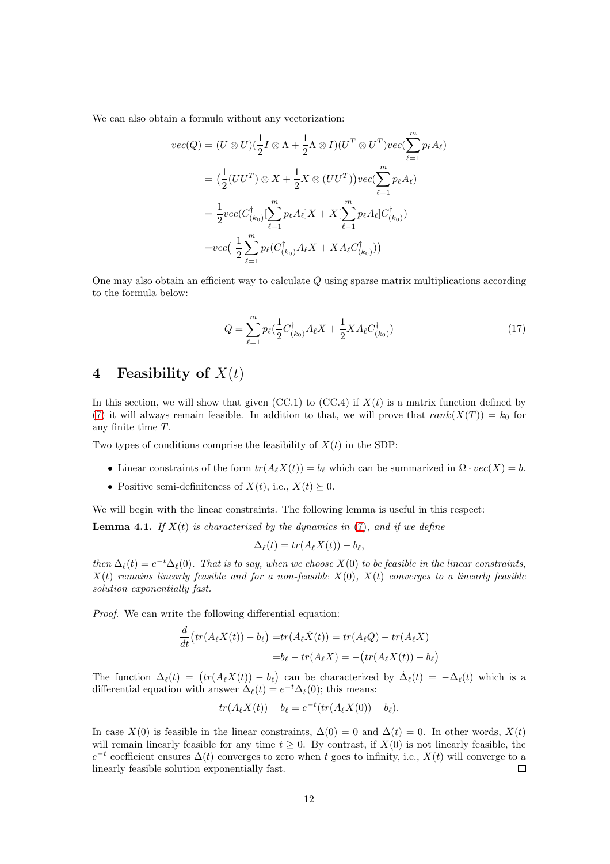We can also obtain a formula without any vectorization:

$$
vec(Q) = (U \otimes U)(\frac{1}{2}I \otimes \Lambda + \frac{1}{2}\Lambda \otimes I)(U^T \otimes U^T)vec(\sum_{\ell=1}^m p_{\ell}A_{\ell})
$$
  

$$
= (\frac{1}{2}(UU^T) \otimes X + \frac{1}{2}X \otimes (UU^T))vec(\sum_{\ell=1}^m p_{\ell}A_{\ell})
$$
  

$$
= \frac{1}{2}vec(C_{(k_0)}^{\dagger}[\sum_{\ell=1}^m p_{\ell}A_{\ell}]X + X[\sum_{\ell=1}^m p_{\ell}A_{\ell}]C_{(k_0)}^{\dagger})
$$
  

$$
=vec(\frac{1}{2}\sum_{\ell=1}^m p_{\ell}(C_{(k_0)}^{\dagger}A_{\ell}X + XA_{\ell}C_{(k_0)}^{\dagger}))
$$

<span id="page-11-2"></span>One may also obtain an efficient way to calculate Q using sparse matrix multiplications according to the formula below:

$$
Q = \sum_{\ell=1}^{m} p_{\ell} \left( \frac{1}{2} C_{(k_0)}^{\dagger} A_{\ell} X + \frac{1}{2} X A_{\ell} C_{(k_0)}^{\dagger} \right)
$$
(17)

# <span id="page-11-0"></span>4 Feasibility of  $X(t)$

In this section, we will show that given (CC.1) to (CC.4) if  $X(t)$  is a matrix function defined by [\(7\)](#page-3-1) it will always remain feasible. In addition to that, we will prove that  $rank(X(T)) = k_0$  for any finite time  $T$ .

Two types of conditions comprise the feasibility of  $X(t)$  in the SDP:

- Linear constraints of the form  $tr(A_{\ell}X(t)) = b_{\ell}$  which can be summarized in  $\Omega \cdot vec(X) = b$ .
- Positive semi-definiteness of  $X(t)$ , i.e.,  $X(t) \succeq 0$ .

We will begin with the linear constraints. The following lemma is useful in this respect:

<span id="page-11-1"></span>**Lemma 4.1.** If  $X(t)$  is characterized by the dynamics in [\(7\)](#page-3-1), and if we define

$$
\Delta_{\ell}(t) = tr(A_{\ell}X(t)) - b_{\ell},
$$

then  $\Delta_{\ell}(t) = e^{-t} \Delta_{\ell}(0)$ . That is to say, when we choose  $X(0)$  to be feasible in the linear constraints,  $X(t)$  remains linearly feasible and for a non-feasible  $X(0)$ ,  $X(t)$  converges to a linearly feasible solution exponentially fast.

Proof. We can write the following differential equation:

$$
\frac{d}{dt}\big(tr(A_{\ell}X(t)) - b_{\ell}\big) = tr(A_{\ell}\dot{X}(t)) = tr(A_{\ell}Q) - tr(A_{\ell}X)
$$
\n
$$
= b_{\ell} - tr(A_{\ell}X) = -(tr(A_{\ell}X(t)) - b_{\ell})
$$

The function  $\Delta_{\ell}(t) = (tr(A_{\ell}X(t)) - b_{\ell})$  can be characterized by  $\dot{\Delta}_{\ell}(t) = -\Delta_{\ell}(t)$  which is a differential equation with answer  $\Delta_{\ell}(t) = e^{-t} \Delta_{\ell}(0)$ ; this means:

$$
tr(A_{\ell}X(t)) - b_{\ell} = e^{-t}(tr(A_{\ell}X(0)) - b_{\ell}).
$$

In case  $X(0)$  is feasible in the linear constraints,  $\Delta(0) = 0$  and  $\Delta(t) = 0$ . In other words,  $X(t)$ will remain linearly feasible for any time  $t \geq 0$ . By contrast, if  $X(0)$  is not linearly feasible, the  $e^{-t}$  coefficient ensures  $\Delta(t)$  converges to zero when t goes to infinity, i.e.,  $X(t)$  will converge to a linearly feasible solution exponentially fast.  $\Box$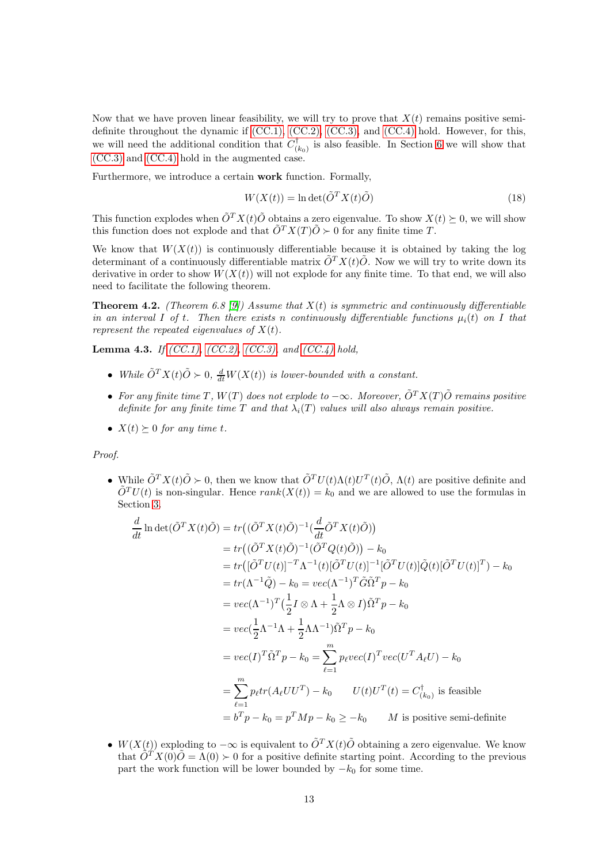Now that we have proven linear feasibility, we will try to prove that  $X(t)$  remains positive semidefinite throughout the dynamic if [\(CC.1\),](#page-3-2) [\(CC.2\),](#page-3-3) [\(CC.3\),](#page-3-4) and [\(CC.4\)](#page-3-5) hold. However, for this, we will need the additional condition that  $C_{\alpha}^{\dagger}$  $\binom{1}{k_0}$  is also feasible. In Section [6](#page-16-0) we will show that [\(CC.3\)](#page-3-4) and [\(CC.4\)](#page-3-5) hold in the augmented case.

Furthermore, we introduce a certain work function. Formally,

<span id="page-12-2"></span>
$$
W(X(t)) = \ln \det(\tilde{O}^T X(t)\tilde{O})
$$
\n(18)

This function explodes when  $\tilde{O}^{T} X(t) \tilde{O}$  obtains a zero eigenvalue. To show  $X(t) \succeq 0$ , we will show this function does not explode and that  $\tilde{O}^{T}X(T)\tilde{O} \succ 0$  for any finite time T.

We know that  $W(X(t))$  is continuously differentiable because it is obtained by taking the log determinant of a continuously differentiable matrix  $\tilde{O}^{T}X(t)\tilde{O}$ . Now we will try to write down its derivative in order to show  $W(X(t))$  will not explode for any finite time. To that end, we will also need to facilitate the following theorem.

<span id="page-12-0"></span>**Theorem 4.2.** (Theorem 6.8 [\[9\]](#page-25-8)) Assume that  $X(t)$  is symmetric and continuously differentiable in an interval I of t. Then there exists n continuously differentiable functions  $\mu_i(t)$  on I that represent the repeated eigenvalues of  $X(t)$ .

<span id="page-12-1"></span>**Lemma 4.3.** If [\(CC.1\),](#page-3-2) [\(CC.2\),](#page-3-3) [\(CC.3\),](#page-3-4) and [\(CC.4\)](#page-3-5) hold,

- While  $\tilde{O}^T X(t) \tilde{O} \succ 0$ ,  $\frac{d}{dt} W(X(t))$  is lower-bounded with a constant.
- For any finite time T,  $W(T)$  does not explode to  $-\infty$ . Moreover,  $\tilde{O}^{T}X(T)\tilde{O}$  remains positive definite for any finite time T and that  $\lambda_i(T)$  values will also always remain positive.
- $X(t) \succeq 0$  for any time t.

#### Proof.

• While  $\tilde{O}^T X(t) \tilde{O} \succ 0$ , then we know that  $\tilde{O}^T U(t) \Lambda(t) U^T(t) \tilde{O}$ ,  $\Lambda(t)$  are positive definite and  $\tilde{O}^{T}U(t)$  is non-singular. Hence  $rank(X(t)) = k_0$  and we are allowed to use the formulas in Section [3.](#page-4-0)

$$
\frac{d}{dt} \ln \det(\tilde{O}^T X(t)\tilde{O}) = tr((\tilde{O}^T X(t)\tilde{O})^{-1}(\frac{d}{dt}\tilde{O}^T X(t)\tilde{O}))
$$
\n
$$
= tr((\tilde{O}^T X(t)\tilde{O})^{-1}(\tilde{O}^T Q(t)\tilde{O})) - k_0
$$
\n
$$
= tr([\tilde{O}^T U(t)]^{-T}\Lambda^{-1}(t)[\tilde{O}^T U(t)]^{-1}[\tilde{O}^T U(t)]\tilde{Q}(t)[\tilde{O}^T U(t)]^T) - k_0
$$
\n
$$
= tr(\Lambda^{-1}\tilde{Q}) - k_0 = vec(\Lambda^{-1})^T \tilde{G}\tilde{\Omega}^T p - k_0
$$
\n
$$
= vec(\Lambda^{-1})^T(\frac{1}{2}I \otimes \Lambda + \frac{1}{2}\Lambda \otimes I)\tilde{\Omega}^T p - k_0
$$
\n
$$
= vec(\frac{1}{2}\Lambda^{-1}\Lambda + \frac{1}{2}\Lambda\Lambda^{-1})\tilde{\Omega}^T p - k_0
$$
\n
$$
= vec(I)^T \tilde{\Omega}^T p - k_0 = \sum_{\ell=1}^m p_{\ell} vec(I)^T vec(U^T A_{\ell} U) - k_0
$$
\n
$$
= \sum_{\ell=1}^m p_{\ell} tr(A_{\ell} U U^T) - k_0 \qquad U(t)U^T(t) = C_{(k_0)}^{\dagger} \text{ is feasible}
$$
\n
$$
= b^T p - k_0 = p^T M p - k_0 \ge -k_0 \qquad M \text{ is positive semi-definite}
$$

•  $W(X(t))$  exploding to  $-\infty$  is equivalent to  $\tilde{O}^{T}X(t)\tilde{O}$  obtaining a zero eigenvalue. We know that  $\tilde{O}^T X(0)\tilde{O} = \Lambda(0) \succ 0$  for a positive definite starting point. According to the previous part the work function will be lower bounded by  $-k_0$  for some time.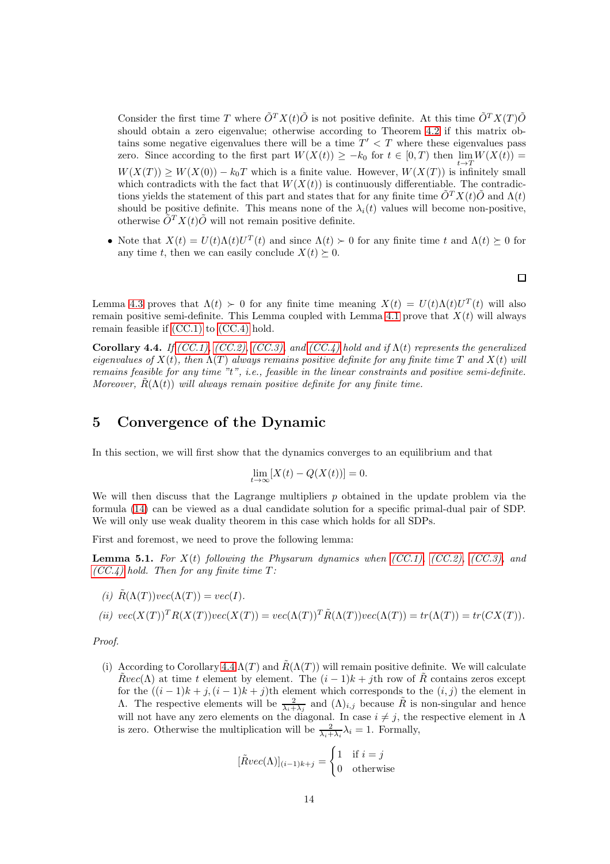Consider the first time T where  $\tilde{O}^{T}X(t)\tilde{O}$  is not positive definite. At this time  $\tilde{O}^{T}X(T)\tilde{O}$ should obtain a zero eigenvalue; otherwise according to Theorem [4.2](#page-12-0) if this matrix obtains some negative eigenvalues there will be a time  $T' < T$  where these eigenvalues pass zero. Since according to the first part  $W(X(t)) \geq -k_0$  for  $t \in [0,T)$  then  $\lim_{t \to \infty} W(X(t)) =$  $W(X(T)) \geq W(X(0)) - k_0T$  which is a finite value. However,  $W(X(T))$  is infinitely small which contradicts with the fact that  $W(X(t))$  is continuously differentiable. The contradictions yields the statement of this part and states that for any finite time  $\tilde{O}^{T}X(t)\tilde{O}$  and  $\Lambda(t)$ should be positive definite. This means none of the  $\lambda_i(t)$  values will become non-positive, otherwise  $\tilde{O}^T X(t) \tilde{O}$  will not remain positive definite.

• Note that  $X(t) = U(t)\Lambda(t)U^{T}(t)$  and since  $\Lambda(t) \succ 0$  for any finite time t and  $\Lambda(t) \succeq 0$  for any time t, then we can easily conclude  $X(t) \succeq 0$ .

 $\Box$ 

Lemma [4.3](#page-12-1) proves that  $\Lambda(t) > 0$  for any finite time meaning  $X(t) = U(t)\Lambda(t)U^{T}(t)$  will also remain positive semi-definite. This Lemma coupled with Lemma [4.1](#page-11-1) prove that  $X(t)$  will always remain feasible if [\(CC.1\)](#page-3-2) to [\(CC.4\)](#page-3-5) hold.

<span id="page-13-1"></span>Corollary 4.4. If  $(CC.1)$ ,  $(CC.2)$ ,  $(CC.3)$ , and  $(CC.4)$  hold and if  $\Lambda(t)$  represents the generalized eigenvalues of  $X(t)$ , then  $\Lambda(T)$  always remains positive definite for any finite time T and  $X(t)$  will remains feasible for any time "t", i.e., feasible in the linear constraints and positive semi-definite. Moreover,  $\hat{R}(\Lambda(t))$  will always remain positive definite for any finite time.

# <span id="page-13-0"></span>5 Convergence of the Dynamic

In this section, we will first show that the dynamics converges to an equilibrium and that

$$
\lim_{t \to \infty} [X(t) - Q(X(t))] = 0.
$$

We will then discuss that the Lagrange multipliers  $p$  obtained in the update problem via the formula [\(14\)](#page-9-2) can be viewed as a dual candidate solution for a specific primal-dual pair of SDP. We will only use weak duality theorem in this case which holds for all SDPs.

First and foremost, we need to prove the following lemma:

<span id="page-13-2"></span>**Lemma 5.1.** For  $X(t)$  following the Physarum dynamics when  $(CC.1)$ ,  $(CC.2)$ ,  $(CC.3)$ , and  $(CC.4)$  hold. Then for any finite time T:

(i) 
$$
\tilde{R}(\Lambda(T))\text{vec}(\Lambda(T)) = \text{vec}(I).
$$

(ii) 
$$
vec(X(T))^T R(X(T))vec(X(T)) = vec(\Lambda(T))^T \tilde{R}(\Lambda(T))vec(\Lambda(T)) = tr(\Lambda(T)) = tr(CX(T)).
$$

Proof.

(i) According to Corollary [4.4](#page-13-1)  $\Lambda(T)$  and  $\tilde{R}(\Lambda(T))$  will remain positive definite. We will calculate  $Rvec(\Lambda)$  at time t element by element. The  $(i-1)k + j$ th row of R contains zeros except for the  $((i-1)k+j,(i-1)k+j)$ th element which corresponds to the  $(i, j)$  the element in Λ. The respective elements will be  $\frac{2}{\lambda_i + \lambda_j}$  and  $(\Lambda)_{i,j}$  because  $\tilde{R}$  is non-singular and hence will not have any zero elements on the diagonal. In case  $i \neq j$ , the respective element in  $\Lambda$ is zero. Otherwise the multiplication will be  $\frac{2}{\lambda_i + \lambda_i} \lambda_i = 1$ . Formally,

$$
[\tilde{R}vec(\Lambda)]_{(i-1)k+j} = \begin{cases} 1 & \text{if } i = j \\ 0 & \text{otherwise} \end{cases}
$$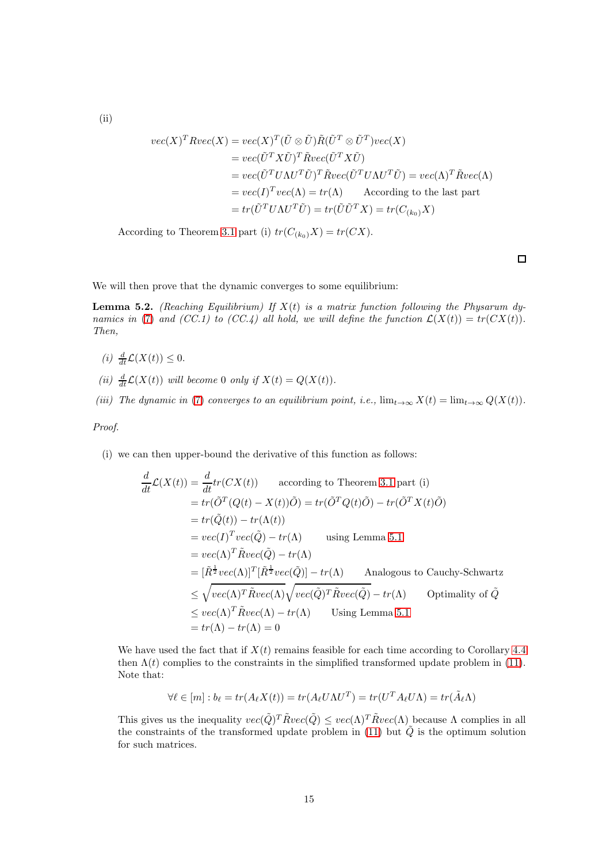$$
vec(X)^T R vec(X) = vec(X)^T (\tilde{U} \otimes \tilde{U}) \tilde{R} (\tilde{U}^T \otimes \tilde{U}^T) vec(X)
$$
  
= 
$$
vec(\tilde{U}^T X \tilde{U})^T \tilde{R} vec(\tilde{U}^T X \tilde{U})
$$
  
= 
$$
vec(\tilde{U}^T U \Lambda U^T \tilde{U})^T \tilde{R} vec(\tilde{U}^T U \Lambda U^T \tilde{U}) = vec(\Lambda)^T \tilde{R} vec(\Lambda)
$$
  
= 
$$
vec(I)^T vec(\Lambda) = tr(\Lambda) \qquad \text{According to the last part}
$$
  
= 
$$
tr(\tilde{U}^T U \Lambda U^T \tilde{U}) = tr(\tilde{U} \tilde{U}^T X) = tr(C_{(k_0)} X)
$$

According to Theorem [3.1](#page-4-1) part (i)  $tr(C_{(k_0)}X) = tr(CX)$ .

 $\Box$ 

We will then prove that the dynamic converges to some equilibrium:

<span id="page-14-0"></span>**Lemma 5.2.** (Reaching Equilibrium) If  $X(t)$  is a matrix function following the Physarum dy-namics in [\(7\)](#page-3-1) and (CC.1) to (CC.4) all hold, we will define the function  $\mathcal{L}(X(t)) = tr(CX(t))$ . Then,

- (i)  $\frac{d}{dt}\mathcal{L}(X(t)) \leq 0.$
- (ii)  $\frac{d}{dt}\mathcal{L}(X(t))$  will become 0 only if  $X(t) = Q(X(t))$ .
- (iii) The dynamic in [\(7\)](#page-3-1) converges to an equilibrium point, i.e.,  $\lim_{t\to\infty} X(t) = \lim_{t\to\infty} Q(X(t))$ .

Proof.

(i) we can then upper-bound the derivative of this function as follows:

$$
\frac{d}{dt}\mathcal{L}(X(t)) = \frac{d}{dt}tr(CX(t)) \qquad \text{according to Theorem 3.1 part (i)}
$$
\n
$$
= tr(\tilde{O}^T(Q(t) - X(t))\tilde{O}) = tr(\tilde{O}^TQ(t)\tilde{O}) - tr(\tilde{O}^T X(t)\tilde{O})
$$
\n
$$
= tr(\tilde{Q}(t)) - tr(\Lambda(t))
$$
\n
$$
= vec(I)^T vec(\tilde{Q}) - tr(\Lambda) \qquad \text{using Lemma 5.1}
$$
\n
$$
= vec(\Lambda)^T \tilde{R} vec(\tilde{Q}) - tr(\Lambda)
$$
\n
$$
= [\tilde{R}^{\frac{1}{2}} vec(\Lambda)]^T [\tilde{R}^{\frac{1}{2}} vec(\tilde{Q})] - tr(\Lambda) \qquad \text{Analogous to Cauchy-Schwartz}
$$
\n
$$
\leq \sqrt{vec(\Lambda)^T \tilde{R} vec(\Lambda)} \sqrt{vec(\tilde{Q})^T \tilde{R} vec(\tilde{Q})} - tr(\Lambda) \qquad \text{Optimality of } \tilde{Q}
$$
\n
$$
\leq vec(\Lambda)^T \tilde{R} vec(\Lambda) - tr(\Lambda) \qquad \text{Using Lemma 5.1}
$$
\n
$$
= tr(\Lambda) - tr(\Lambda) = 0
$$

We have used the fact that if  $X(t)$  remains feasible for each time according to Corollary [4.4](#page-13-1) then  $\Lambda(t)$  complies to the constraints in the simplified transformed update problem in [\(11\)](#page-8-0). Note that:

$$
\forall \ell \in [m] : b_{\ell} = tr(A_{\ell}X(t)) = tr(A_{\ell}U\Lambda U^{T}) = tr(U^{T}A_{\ell}U\Lambda) = tr(\tilde{A}_{\ell}\Lambda)
$$

This gives us the inequality  $vec(\tilde{Q})^T \tilde{R}vec(\tilde{Q}) \leq vec(\Lambda)^T \tilde{R}vec(\Lambda)$  because  $\Lambda$  complies in all the constraints of the transformed update problem in [\(11\)](#page-8-0) but  $\tilde{Q}$  is the optimum solution for such matrices.

15

(ii)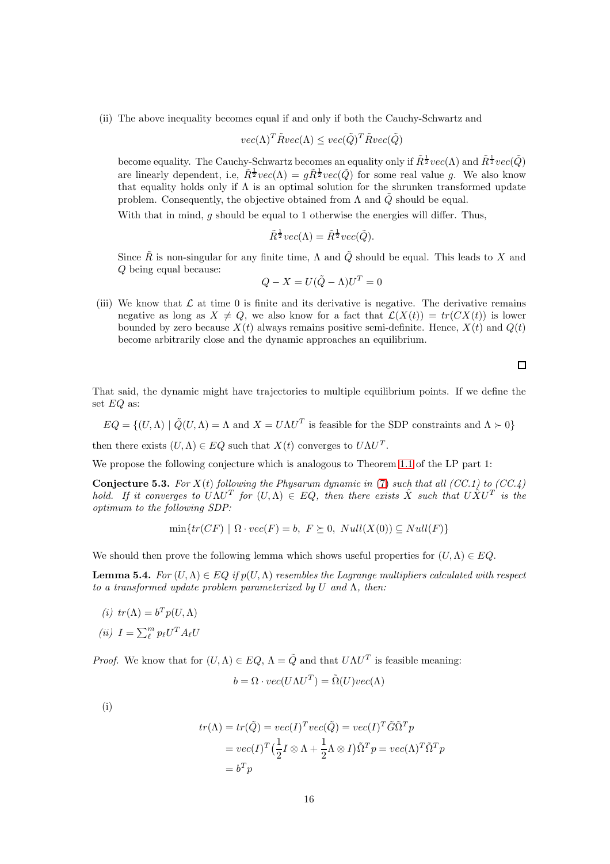(ii) The above inequality becomes equal if and only if both the Cauchy-Schwartz and

$$
vec(\Lambda)^T \tilde{R} vec(\Lambda) \leq vec(\tilde{Q})^T \tilde{R} vec(\tilde{Q})
$$

become equality. The Cauchy-Schwartz becomes an equality only if  $\tilde R^{\frac{1}{2}}vec(\Lambda)$  and  $\tilde R^{\frac{1}{2}}vec(\tilde Q)$ are linearly dependent, i.e,  $\tilde{R}^{\frac{1}{2}}vec(\Lambda) = g\tilde{R}^{\frac{1}{2}}vec(\tilde{Q})$  for some real value g. We also know that equality holds only if  $\Lambda$  is an optimal solution for the shrunken transformed update problem. Consequently, the objective obtained from  $\Lambda$  and  $\tilde{Q}$  should be equal.

With that in mind,  $g$  should be equal to 1 otherwise the energies will differ. Thus,

$$
\tilde{R}^{\frac{1}{2}}vec(\Lambda) = \tilde{R}^{\frac{1}{2}}vec(\tilde{Q}).
$$

Since  $\tilde{R}$  is non-singular for any finite time,  $\Lambda$  and  $\tilde{Q}$  should be equal. This leads to X and Q being equal because:

$$
Q - X = U(\tilde{Q} - \Lambda)U^T = 0
$$

(iii) We know that  $\mathcal L$  at time 0 is finite and its derivative is negative. The derivative remains negative as long as  $X \neq Q$ , we also know for a fact that  $\mathcal{L}(X(t)) = tr(CX(t))$  is lower bounded by zero because  $X(t)$  always remains positive semi-definite. Hence,  $X(t)$  and  $Q(t)$ become arbitrarily close and the dynamic approaches an equilibrium.

 $\Box$ 

That said, the dynamic might have trajectories to multiple equilibrium points. If we define the set EQ as:

 $EQ = \{(U, \Lambda) | \tilde{Q}(U, \Lambda) = \Lambda \text{ and } X = U\Lambda U^T \text{ is feasible for the SDP constraints and } \Lambda \succ 0\}$ 

then there exists  $(U, \Lambda) \in EQ$  such that  $X(t)$  converges to  $U\Lambda U^T$ .

We propose the following conjecture which is analogous to Theorem [1.1](#page-1-2) of the LP part 1:

<span id="page-15-0"></span>**Conjecture 5.3.** For  $X(t)$  following the Physarum dynamic in [\(7\)](#page-3-1) such that all (CC.1) to (CC.4) hold. If it converges to  $U\Lambda U^T$  for  $(U,\Lambda) \in EQ$ , then there exists  $\hat{X}$  such that  $U\hat{X}U^T$  is the optimum to the following SDP:

$$
\min\{tr(CF) \mid \Omega \cdot vec(F) = b, F \succeq 0, Null(X(0)) \subseteq Null(F)\}
$$

We should then prove the following lemma which shows useful properties for  $(U, \Lambda) \in EQ$ .

<span id="page-15-1"></span>**Lemma 5.4.** For  $(U, \Lambda) \in EQ$  if  $p(U, \Lambda)$  resembles the Lagrange multipliers calculated with respect to a transformed update problem parameterized by U and  $\Lambda$ , then:

(i) 
$$
tr(\Lambda) = b^T p(U, \Lambda)
$$
  
(ii)  $I = \sum_{\ell}^{m} p_{\ell} U^T A_{\ell} U$ 

*Proof.* We know that for  $(U, \Lambda) \in EQ$ ,  $\Lambda = \tilde{Q}$  and that  $U\Lambda U^T$  is feasible meaning:

$$
b = \Omega \cdot vec(U\Lambda U^T) = \tilde{\Omega}(U)vec(\Lambda)
$$

(i)

$$
tr(\Lambda) = tr(\tilde{Q}) = vec(I)^T vec(\tilde{Q}) = vec(I)^T \tilde{G} \tilde{\Omega}^T p
$$
  
= 
$$
vec(I)^T \left(\frac{1}{2}I \otimes \Lambda + \frac{1}{2}\Lambda \otimes I\right) \tilde{\Omega}^T p = vec(\Lambda)^T \tilde{\Omega}^T p
$$
  
= 
$$
b^T p
$$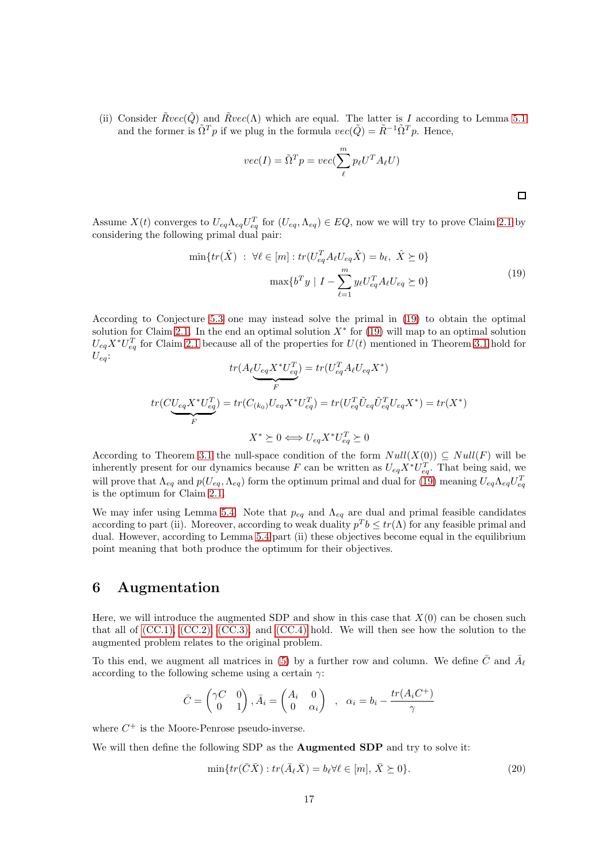(ii) Consider  $\tilde{R}vec(\tilde{Q})$  and  $\tilde{R}vec(\Lambda)$  which are equal. The latter is I according to Lemma [5.1](#page-13-2) and the former is  $\tilde{\Omega}^T p$  if we plug in the formula  $vec(\tilde{Q}) = \tilde{R}^{-1} \tilde{\Omega}^T p$ . Hence,

<span id="page-16-1"></span>
$$
vec(I) = \tilde{\Omega}^T p = vec(\sum_{\ell}^{m} p_{\ell} U^T A_{\ell} U)
$$

Assume  $X(t)$  converges to  $U_{eq} \Lambda_{eq} U_{eq}^T$  for  $(U_{eq}, \Lambda_{eq}) \in EQ$ , now we will try to prove Claim [2.1](#page-3-7) by considering the following primal dual pair:

$$
\min\{tr(\hat{X}) \ : \ \forall \ell \in [m] : tr(U_{eq}^T A_\ell U_{eq} \hat{X}) = b_\ell, \ \hat{X} \succeq 0\}
$$
\n
$$
\max\{b^T y \mid I - \sum_{\ell=1}^m y_\ell U_{eq}^T A_\ell U_{eq} \succeq 0\}
$$
\n
$$
(19)
$$

 $\Box$ 

According to Conjecture [5.3](#page-15-0) one may instead solve the primal in [\(19\)](#page-16-1) to obtain the optimal solution for Claim [2.1.](#page-3-7) In the end an optimal solution  $X^*$  for [\(19\)](#page-16-1) will map to an optimal solution  $U_{eq}X^*U_{eq}^T$  for Claim [2.1](#page-3-7) because all of the properties for  $U(t)$  mentioned in Theorem [3.1](#page-4-1) hold for  $U_{ea}$ :  $\overline{r}$ 

$$
tr(A_{\ell}U_{eq}X^{*}U_{eq}^{T}) = tr(U_{eq}^{T}A_{\ell}U_{eq}X^{*})
$$

$$
tr(CU_{eq}X^{*}U_{eq}^{T}) = tr(C_{(k_{0})}U_{eq}X^{*}U_{eq}^{T}) = tr(U_{eq}^{T}\tilde{U}_{eq}\tilde{U}_{eq}^{T}U_{eq}X^{*}) = tr(X^{*})
$$

$$
X^{*} \succeq 0 \Longleftrightarrow U_{eq}X^{*}U_{eq}^{T} \succeq 0
$$

According to Theorem [3.1](#page-4-1) the null-space condition of the form  $Null(X(0)) \subseteq Null(F)$  will be inherently present for our dynamics because F can be written as  $U_{eq}X^*U_{eq}^T$ . That being said, we will prove that  $\Lambda_{eq}$  and  $p(U_{eq}, \Lambda_{eq})$  form the optimum primal and dual for [\(19\)](#page-16-1) meaning  $U_{eq} \Lambda_{eq} U_{eq}^T$ is the optimum for Claim [2.1.](#page-3-7)

We may infer using Lemma [5.4.](#page-15-1) Note that  $p_{eq}$  and  $\Lambda_{eq}$  are dual and primal feasible candidates according to part (ii). Moreover, according to weak duality  $p^T b \leq tr(\Lambda)$  for any feasible primal and dual. However, according to Lemma [5.4](#page-15-1) part (ii) these objectives become equal in the equilibrium point meaning that both produce the optimum for their objectives.

# <span id="page-16-0"></span>6 Augmentation

Here, we will introduce the augmented SDP and show in this case that  $X(0)$  can be chosen such that all of  $(CC.1)$ ,  $(CC.2)$ ,  $(CC.3)$ , and  $(CC.4)$  hold. We will then see how the solution to the augmented problem relates to the original problem.

To this end, we augment all matrices in [\(5\)](#page-2-0) by a further row and column. We define  $\bar{C}$  and  $\bar{A}_{\ell}$ according to the following scheme using a certain  $\gamma$ :

$$
\bar{C} = \begin{pmatrix} \gamma C & 0 \\ 0 & 1 \end{pmatrix}, \bar{A}_i = \begin{pmatrix} A_i & 0 \\ 0 & \alpha_i \end{pmatrix} , \alpha_i = b_i - \frac{tr(A_i C^+)}{\gamma}
$$

where  $C^+$  is the Moore-Penrose pseudo-inverse.

We will then define the following SDP as the **Augmented SDP** and try to solve it:

<span id="page-16-2"></span>
$$
\min\{tr(\bar{C}\bar{X}) : tr(\bar{A}_{\ell}\bar{X}) = b_{\ell}\forall \ell \in [m], \bar{X} \succeq 0\}.
$$
\n(20)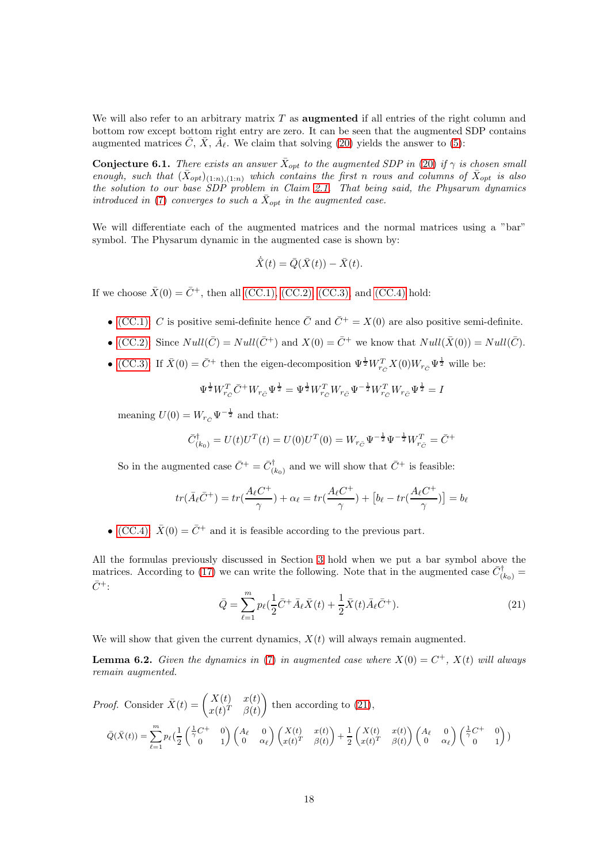We will also refer to an arbitrary matrix  $T$  as **augmented** if all entries of the right column and bottom row except bottom right entry are zero. It can be seen that the augmented SDP contains augmented matrices  $\bar{C}$ ,  $\bar{X}$ ,  $\bar{A}_{\ell}$ . We claim that solving [\(20\)](#page-16-2) yields the answer to [\(5\)](#page-2-0):

<span id="page-17-1"></span>**Conjecture 6.1.** There exists an answer  $\bar{X}_{opt}$  to the augmented SDP in [\(20\)](#page-16-2) if  $\gamma$  is chosen small enough, such that  $(\bar{X}_{opt})_{(1:n),(1:n)}$  which contains the first n rows and columns of  $\bar{X}_{opt}$  is also the solution to our base SDP problem in Claim [2.1.](#page-3-7) That being said, the Physarum dynamics introduced in [\(7\)](#page-3-1) converges to such a  $\bar{X}_{opt}$  in the augmented case.

We will differentiate each of the augmented matrices and the normal matrices using a "bar" symbol. The Physarum dynamic in the augmented case is shown by:

$$
\dot{\bar{X}}(t) = \bar{Q}(\bar{X}(t)) - \bar{X}(t).
$$

If we choose  $\bar{X}(0) = \bar{C}^+$ , then all [\(CC.1\),](#page-3-2) [\(CC.2\),](#page-3-3) [\(CC.3\),](#page-3-4) and [\(CC.4\)](#page-3-5) hold:

- [\(CC.1\):](#page-3-2) C is positive semi-definite hence  $\overline{C}$  and  $\overline{C}^+ = X(0)$  are also positive semi-definite.
- [\(CC.2\):](#page-3-3) Since  $Null(\bar{C}) = Null(\bar{C}^+)$  and  $X(0) = \bar{C}^+$  we know that  $Null(\bar{X}(0)) = Null(\bar{C})$ .
- [\(CC.3\):](#page-3-4) If  $\bar{X}(0) = \bar{C}^+$  then the eigen-decomposition  $\Psi^{\frac{1}{2}} W_{r_C}^T X(0) W_{r_C} \Psi^{\frac{1}{2}}$  wille be:

$$
\Psi^{\frac{1}{2}}W_{r_{C}}^{T}\bar{C}^{+}W_{r_{C}}\Psi^{\frac{1}{2}}=\Psi^{\frac{1}{2}}W_{r_{C}}^{T}W_{r_{C}}\Psi^{-\frac{1}{2}}W_{r_{C}}^{T}W_{r_{C}}\Psi^{\frac{1}{2}}=I
$$

meaning  $U(0) = W_{r_C} \Psi^{-\frac{1}{2}}$  and that:

$$
\bar{C}_{(k_0)}^{\dagger} = U(t)U^{T}(t) = U(0)U^{T}(0) = W_{r_{\bar{C}}} \Psi^{-\frac{1}{2}} \Psi^{-\frac{1}{2}} W_{r_{\bar{C}}}^{T} = \bar{C}^{+}
$$

So in the augmented case  $\bar{C}^+ = \bar{C}^{\dagger}_{(k_0)}$  and we will show that  $\bar{C}^+$  is feasible:

$$
tr(\bar{A}_{\ell}\bar{C}^{+}) = tr(\frac{A_{\ell}C^{+}}{\gamma}) + \alpha_{\ell} = tr(\frac{A_{\ell}C^{+}}{\gamma}) + [b_{\ell} - tr(\frac{A_{\ell}C^{+}}{\gamma})] = b_{\ell}
$$

• [\(CC.4\):](#page-3-5)  $\bar{X}(0) = \bar{C}^+$  and it is feasible according to the previous part.

<span id="page-17-0"></span>All the formulas previously discussed in Section [3](#page-4-0) hold when we put a bar symbol above the matrices. According to [\(17\)](#page-11-2) we can write the following. Note that in the augmented case  $\bar{C}^{\dagger}_{(k_0)} =$  $\bar{C}^+$ :

$$
\bar{Q} = \sum_{\ell=1}^{m} p_{\ell} (\frac{1}{2} \bar{C}^{+} \bar{A}_{\ell} \bar{X}(t) + \frac{1}{2} \bar{X}(t) \bar{A}_{\ell} \bar{C}^{+}).
$$
\n(21)

We will show that given the current dynamics,  $X(t)$  will always remain augmented.

**Lemma 6.2.** Given the dynamics in [\(7\)](#page-3-1) in augmented case where  $X(0) = C^+$ ,  $X(t)$  will always remain augmented.

*Proof.* Consider 
$$
\bar{X}(t) = \begin{pmatrix} X(t) & x(t) \\ x(t)^T & \beta(t) \end{pmatrix}
$$
 then according to (21),  
\n
$$
\bar{Q}(\bar{X}(t)) = \sum_{\ell=1}^m p_\ell \begin{pmatrix} \frac{1}{2} \begin{pmatrix} \frac{1}{\gamma} C^+ & 0 \\ 0 & 1 \end{pmatrix} \begin{pmatrix} A_\ell & 0 \\ 0 & \alpha_\ell \end{pmatrix} \begin{pmatrix} X(t) & x(t) \\ x(t)^T & \beta(t) \end{pmatrix} + \frac{1}{2} \begin{pmatrix} X(t) & x(t) \\ x(t)^T & \beta(t) \end{pmatrix} \begin{pmatrix} A_\ell & 0 \\ 0 & \alpha_\ell \end{pmatrix} \begin{pmatrix} \frac{1}{\gamma} C^+ & 0 \\ 0 & 1 \end{pmatrix})
$$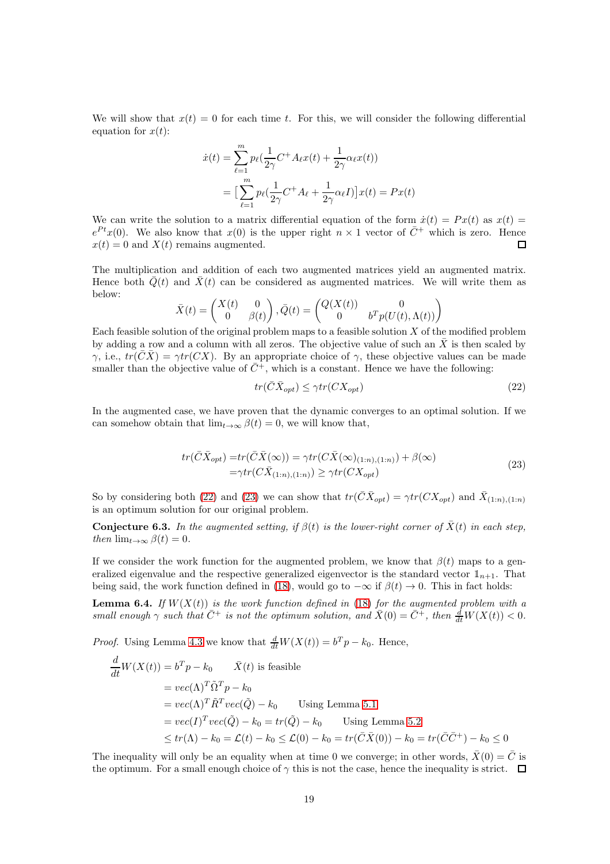We will show that  $x(t) = 0$  for each time t. For this, we will consider the following differential equation for  $x(t)$ :

$$
\dot{x}(t) = \sum_{\ell=1}^{m} p_{\ell} \left( \frac{1}{2\gamma} C^{+} A_{\ell} x(t) + \frac{1}{2\gamma} \alpha_{\ell} x(t) \right)
$$

$$
= \Big[ \sum_{\ell=1}^{m} p_{\ell} \left( \frac{1}{2\gamma} C^{+} A_{\ell} + \frac{1}{2\gamma} \alpha_{\ell} I \right) \Big] x(t) = Px(t)
$$

We can write the solution to a matrix differential equation of the form  $\dot{x}(t) = Px(t)$  as  $x(t) =$  $e^{Pt}x(0)$ . We also know that  $x(0)$  is the upper right  $n \times 1$  vector of  $\overline{C}^+$  which is zero. Hence  $x(t) = 0$  and  $X(t)$  remains augmented. П

The multiplication and addition of each two augmented matrices yield an augmented matrix. Hence both  $\overline{Q}(t)$  and  $\overline{X}(t)$  can be considered as augmented matrices. We will write them as below:

$$
\bar{X}(t) = \begin{pmatrix} X(t) & 0 \\ 0 & \beta(t) \end{pmatrix}, \bar{Q}(t) = \begin{pmatrix} Q(X(t)) & 0 \\ 0 & b^T p(U(t), \Lambda(t)) \end{pmatrix}
$$

Each feasible solution of the original problem maps to a feasible solution  $X$  of the modified problem by adding a row and a column with all zeros. The objective value of such an  $\bar{X}$  is then scaled by  $\gamma$ , i.e.,  $tr(\overline{C}\overline{X}) = \gamma tr(CX)$ . By an appropriate choice of  $\gamma$ , these objective values can be made smaller than the objective value of  $\overline{C}^+$ , which is a constant. Hence we have the following:

<span id="page-18-0"></span>
$$
tr(\bar{C}\bar{X}_{opt}) \le \gamma tr(CX_{opt})
$$
\n(22)

<span id="page-18-1"></span>In the augmented case, we have proven that the dynamic converges to an optimal solution. If we can somehow obtain that  $\lim_{t\to\infty} \beta(t) = 0$ , we will know that,

$$
tr(\bar{C}\bar{X}_{opt}) = tr(\bar{C}\bar{X}(\infty)) = \gamma tr(C\bar{X}(\infty)_{(1:n),(1:n)}) + \beta(\infty)
$$
  
=\gamma tr(C\bar{X}\_{(1:n),(1:n)}) \ge \gamma tr(CX\_{opt}) \tag{23}

So by considering both [\(22\)](#page-18-0) and [\(23\)](#page-18-1) we can show that  $tr(\bar{C}\bar{X}_{opt}) = \gamma tr(CX_{opt})$  and  $\bar{X}_{(1:n),(1:n)}$ is an optimum solution for our original problem.

<span id="page-18-2"></span>**Conjecture 6.3.** In the augmented setting, if  $\beta(t)$  is the lower-right corner of  $\bar{X}(t)$  in each step, then  $\lim_{t\to\infty} \beta(t) = 0$ .

If we consider the work function for the augmented problem, we know that  $\beta(t)$  maps to a generalized eigenvalue and the respective generalized eigenvector is the standard vector  $\mathbb{1}_{n+1}$ . That being said, the work function defined in [\(18\)](#page-12-2), would go to  $-\infty$  if  $\beta(t) \to 0$ . This in fact holds:

**Lemma 6.4.** If  $W(X(t))$  is the work function defined in [\(18\)](#page-12-2) for the augmented problem with a small enough  $\gamma$  such that  $\bar{C}^+$  is not the optimum solution, and  $\bar{X}(0) = \bar{C}^+$ , then  $\frac{d}{dt}W(X(t)) < 0$ .

*Proof.* Using Lemma [4.3](#page-12-1) we know that  $\frac{d}{dt}W(X(t)) = b^T p - k_0$ . Hence,

$$
\frac{d}{dt}W(X(t)) = b^T p - k_0 \qquad \bar{X}(t) \text{ is feasible}
$$
\n
$$
= vec(\Lambda)^T \tilde{\Omega}^T p - k_0
$$
\n
$$
= vec(\Lambda)^T \tilde{R}^T vec(\tilde{Q}) - k_0 \qquad \text{Using Lemma 5.1}
$$
\n
$$
= vec(I)^T vec(\tilde{Q}) - k_0 = tr(\tilde{Q}) - k_0 \qquad \text{Using Lemma 5.2}
$$
\n
$$
\leq tr(\Lambda) - k_0 = \mathcal{L}(t) - k_0 \leq \mathcal{L}(0) - k_0 = tr(\bar{C}\bar{X}(0)) - k_0 = tr(\bar{C}\bar{C}^+) - k_0 \leq 0
$$

The inequality will only be an equality when at time 0 we converge; in other words,  $\bar{X}(0) = \bar{C}$  is the optimum. For a small enough choice of  $\gamma$  this is not the case, hence the inequality is strict.  $\Box$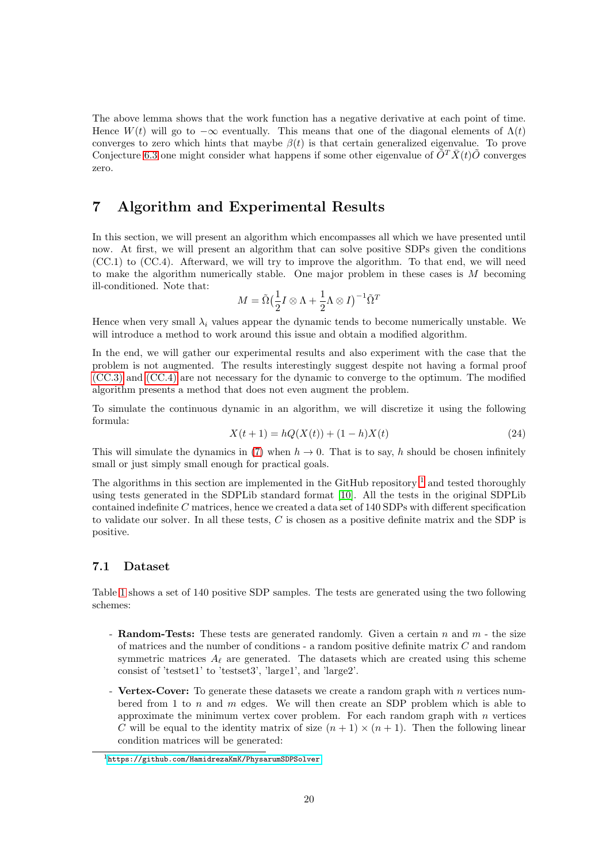The above lemma shows that the work function has a negative derivative at each point of time. Hence  $W(t)$  will go to  $-\infty$  eventually. This means that one of the diagonal elements of  $\Lambda(t)$ converges to zero which hints that maybe  $\beta(t)$  is that certain generalized eigenvalue. To prove Conjecture [6.3](#page-18-2) one might consider what happens if some other eigenvalue of  $\tilde{O}^T\tilde{X}(t)\tilde{O}$  converges zero.

# <span id="page-19-0"></span>7 Algorithm and Experimental Results

In this section, we will present an algorithm which encompasses all which we have presented until now. At first, we will present an algorithm that can solve positive SDPs given the conditions (CC.1) to (CC.4). Afterward, we will try to improve the algorithm. To that end, we will need to make the algorithm numerically stable. One major problem in these cases is M becoming ill-conditioned. Note that:

$$
M = \tilde{\Omega} \left(\frac{1}{2}I \otimes \Lambda + \frac{1}{2}\Lambda \otimes I\right)^{-1} \tilde{\Omega}^T
$$

Hence when very small  $\lambda_i$  values appear the dynamic tends to become numerically unstable. We will introduce a method to work around this issue and obtain a modified algorithm.

In the end, we will gather our experimental results and also experiment with the case that the problem is not augmented. The results interestingly suggest despite not having a formal proof [\(CC.3\)](#page-3-4) and [\(CC.4\)](#page-3-5) are not necessary for the dynamic to converge to the optimum. The modified algorithm presents a method that does not even augment the problem.

To simulate the continuous dynamic in an algorithm, we will discretize it using the following formula:

$$
X(t+1) = hQ(X(t)) + (1-h)X(t)
$$
\n(24)

This will simulate the dynamics in [\(7\)](#page-3-1) when  $h \to 0$ . That is to say, h should be chosen infinitely small or just simply small enough for practical goals.

The algorithms in this section are implemented in the GitHub repository  $\frac{1}{1}$  $\frac{1}{1}$  $\frac{1}{1}$  and tested thoroughly using tests generated in the SDPLib standard format [\[10\]](#page-25-9). All the tests in the original SDPLib contained indefinite C matrices, hence we created a data set of 140 SDPs with different specification to validate our solver. In all these tests, C is chosen as a positive definite matrix and the SDP is positive.

### 7.1 Dataset

Table [1](#page-20-0) shows a set of 140 positive SDP samples. The tests are generated using the two following schemes:

- Random-Tests: These tests are generated randomly. Given a certain  $n$  and  $m$  the size of matrices and the number of conditions - a random positive definite matrix C and random symmetric matrices  $A_{\ell}$  are generated. The datasets which are created using this scheme consist of 'testset1' to 'testset3', 'large1', and 'large2'.
- Vertex-Cover: To generate these datasets we create a random graph with  $n$  vertices numbered from 1 to n and m edges. We will then create an SDP problem which is able to approximate the minimum vertex cover problem. For each random graph with  $n$  vertices C will be equal to the identity matrix of size  $(n + 1) \times (n + 1)$ . Then the following linear condition matrices will be generated:

<span id="page-19-1"></span><sup>1</sup><https://github.com/HamidrezaKmK/PhysarumSDPSolver>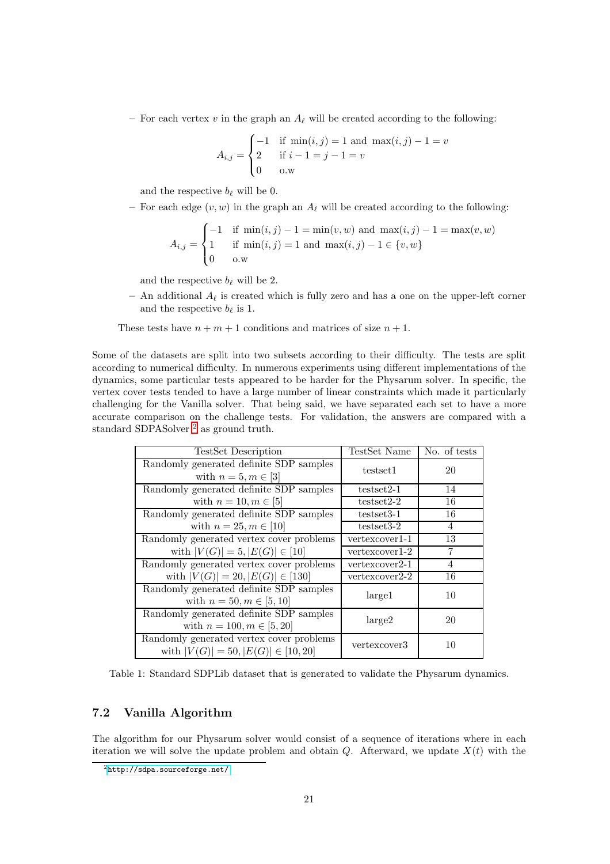– For each vertex v in the graph an  $A_{\ell}$  will be created according to the following:

$$
A_{i,j} = \begin{cases} -1 & \text{if } \min(i,j) = 1 \text{ and } \max(i,j) - 1 = v \\ 2 & \text{if } i - 1 = j - 1 = v \\ 0 & \text{o.w} \end{cases}
$$

and the respective  $b_{\ell}$  will be 0.

– For each edge  $(v, w)$  in the graph an  $A_{\ell}$  will be created according to the following:

$$
A_{i,j} = \begin{cases} -1 & \text{if } \min(i,j) - 1 = \min(v, w) \text{ and } \max(i,j) - 1 = \max(v, w) \\ 1 & \text{if } \min(i,j) = 1 \text{ and } \max(i,j) - 1 \in \{v, w\} \\ 0 & \text{o.w} \end{cases}
$$

and the respective  $b_{\ell}$  will be 2.

– An additional  $A_{\ell}$  is created which is fully zero and has a one on the upper-left corner and the respective  $b_{\ell}$  is 1.

These tests have  $n + m + 1$  conditions and matrices of size  $n + 1$ .

Some of the datasets are split into two subsets according to their difficulty. The tests are split according to numerical difficulty. In numerous experiments using different implementations of the dynamics, some particular tests appeared to be harder for the Physarum solver. In specific, the vertex cover tests tended to have a large number of linear constraints which made it particularly challenging for the Vanilla solver. That being said, we have separated each set to have a more accurate comparison on the challenge tests. For validation, the answers are compared with a standard SDPASolver<sup>[2](#page-20-1)</sup> as ground truth.

| <b>TestSet Description</b>                                                          | TestSet Name   | No. of tests |
|-------------------------------------------------------------------------------------|----------------|--------------|
| Randomly generated definite SDP samples<br>with $n = 5, m \in [3]$                  | testset1       | 20           |
| Randomly generated definite SDP samples                                             | $testset2-1$   | 14           |
| with $n = 10, m \in [5]$                                                            | $testset2-2$   | 16           |
| Randomly generated definite SDP samples                                             | testset3-1     | 16           |
| with $n = 25, m \in [10]$                                                           | $testset3-2$   | 4            |
| Randomly generated vertex cover problems                                            | vertexcover1-1 | 13           |
| with $ V(G)  = 5,  E(G)  \in [10]$                                                  | vertexcover1-2 | 7            |
| Randomly generated vertex cover problems                                            | vertexcover2-1 | 4            |
| with $ V(G)  = 20,  E(G)  \in [130]$                                                | vertexcover2-2 | 16           |
| Randomly generated definite SDP samples<br>with $n = 50, m \in [5, 10]$             | large1         | 10           |
| Randomly generated definite SDP samples<br>with $n = 100, m \in [5, 20]$            | large 2        | 20           |
| Randomly generated vertex cover problems<br>with $ V(G)  = 50,  E(G)  \in [10, 20]$ | vertexcover3   | 10           |

<span id="page-20-0"></span>Table 1: Standard SDPLib dataset that is generated to validate the Physarum dynamics.

### 7.2 Vanilla Algorithm

The algorithm for our Physarum solver would consist of a sequence of iterations where in each iteration we will solve the update problem and obtain  $Q$ . Afterward, we update  $X(t)$  with the

<span id="page-20-1"></span><sup>2</sup><http://sdpa.sourceforge.net/>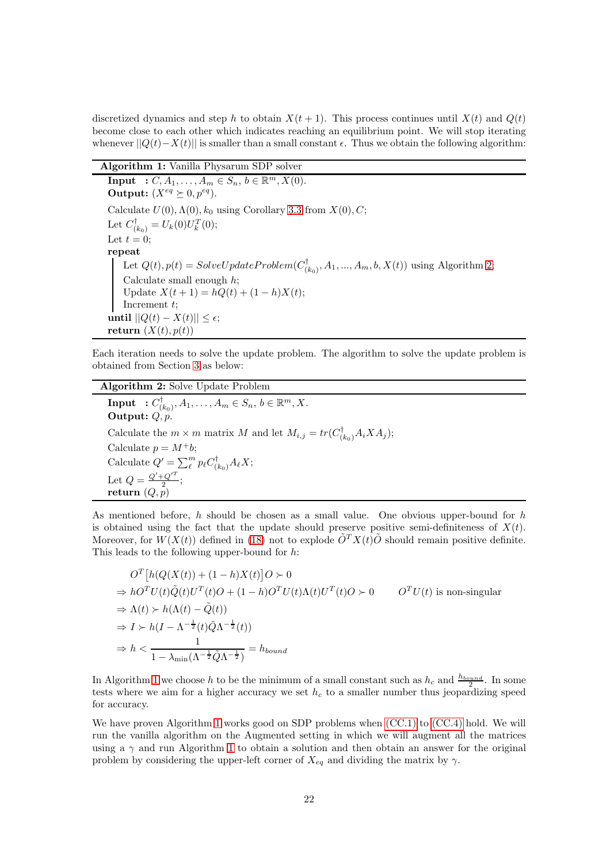discretized dynamics and step h to obtain  $X(t + 1)$ . This process continues until  $X(t)$  and  $Q(t)$ become close to each other which indicates reaching an equilibrium point. We will stop iterating whenever  $||Q(t)-X(t)||$  is smaller than a small constant  $\epsilon$ . Thus we obtain the following algorithm:

| Algorithm 1: Vanilla Physarum SDP solver |  |  |  |  |  |
|------------------------------------------|--|--|--|--|--|
|------------------------------------------|--|--|--|--|--|

<span id="page-21-1"></span>**Input** :  $C, A_1, ..., A_m \in S_n, b \in \mathbb{R}^m, X(0)$ . Output:  $(X^{eq} \succeq 0, p^{eq})$ . Calculate  $U(0)$ ,  $\Lambda(0)$ ,  $k_0$  using Corollary [3.3](#page-7-1) from  $X(0)$ , C; Let  $C^{\dagger}_{(k_0)} = U_k(0)U_k^T(0);$ Let  $t = 0$ ; repeat Let  $Q(t)$ ,  $p(t) = SolveUpdateProblem(C_C^{\dagger})$  $(a_{(k_0)}^{\dagger}, A_1, ..., A_m, b, X(t))$  using Algorithm [2;](#page-21-0) Calculate small enough  $h$ ; Update  $X(t + 1) = hQ(t) + (1 - h)X(t);$ Increment t; until  $||Q(t) - X(t)||$  ≤ ε; return  $(X(t), p(t))$ 

Each iteration needs to solve the update problem. The algorithm to solve the update problem is obtained from Section [3](#page-4-0) as below:

Algorithm 2: Solve Update Problem

<span id="page-21-0"></span> $\mathbf{Input} \hspace{2mm} : C^{\dagger}_{C}$  $(A_{(k_0)}, A_1, \ldots, A_m \in S_n, b \in \mathbb{R}^m, X.$ Output:  $Q, p$ Calculate the  $m \times m$  matrix M and let  $M_{i,j} = tr(C^{\dagger}_{(k_0)} A_i X A_j);$ Calculate  $p = M^+b$ ; Calculate  $Q' = \sum_{\ell}^{m} p_{\ell} C_{(k_0)}^{\dagger} A_{\ell} X;$ Let  $Q = \frac{Q' + Q'^T}{2}$ ;  $\mathbf{return}\ (Q,p)$ 

As mentioned before, h should be chosen as a small value. One obvious upper-bound for h is obtained using the fact that the update should preserve positive semi-definiteness of  $X(t)$ . Moreover, for  $W(X(t))$  defined in [\(18\)](#page-12-2) not to explode  $\tilde{O}^{T}X(t)\tilde{O}$  should remain positive definite. This leads to the following upper-bound for h:

$$
O^T \left[ h(Q(X(t)) + (1 - h)X(t) \right] O \succ 0
$$
  
\n
$$
\Rightarrow hO^T U(t) \tilde{Q}(t) U^T(t) O + (1 - h) O^T U(t) \Lambda(t) U^T(t) O \succ 0
$$
  $O^T U(t)$  is non-singular  
\n
$$
\Rightarrow \Lambda(t) \succ h(\Lambda(t) - \tilde{Q}(t))
$$
  
\n
$$
\Rightarrow I \succ h(I - \Lambda^{-\frac{1}{2}}(t) \tilde{Q} \Lambda^{-\frac{1}{2}}(t))
$$
  
\n
$$
\Rightarrow h < \frac{1}{1 - \lambda_{\min}(\Lambda^{-\frac{1}{2}} \tilde{Q} \Lambda^{-\frac{1}{2}})} = h_{bound}
$$

In Algorithm [1](#page-21-1) we choose h to be the minimum of a small constant such as  $h_c$  and  $\frac{h_{bound}}{2}$ . In some tests where we aim for a higher accuracy we set  $h_c$  to a smaller number thus jeopardizing speed for accuracy.

We have proven Algorithm [1](#page-21-1) works good on SDP problems when [\(CC.1\)](#page-3-2) to [\(CC.4\)](#page-3-5) hold. We will run the vanilla algorithm on the Augmented setting in which we will augment all the matrices using a  $\gamma$  and run Algorithm [1](#page-21-1) to obtain a solution and then obtain an answer for the original problem by considering the upper-left corner of  $X_{eq}$  and dividing the matrix by  $\gamma$ .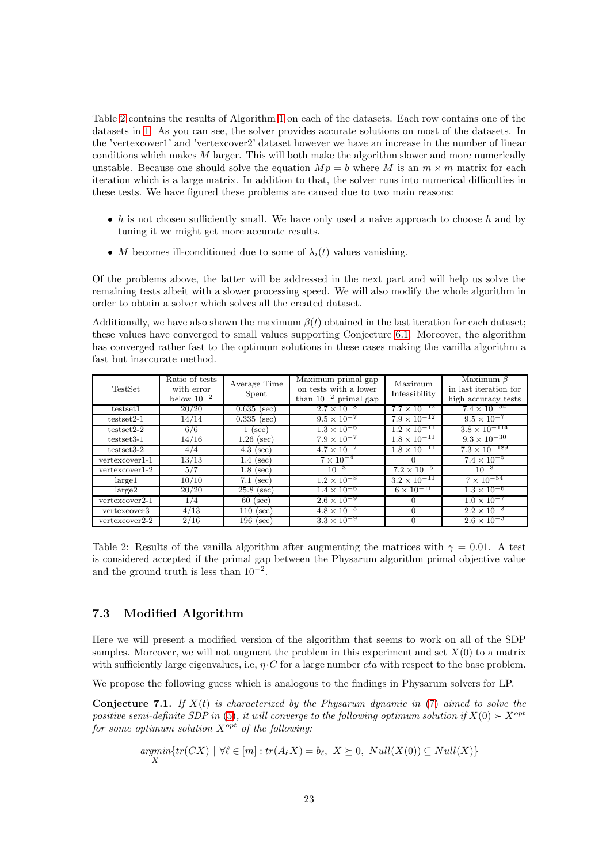Table [2](#page-22-0) contains the results of Algorithm [1](#page-21-1) on each of the datasets. Each row contains one of the datasets in [1.](#page-20-0) As you can see, the solver provides accurate solutions on most of the datasets. In the 'vertexcover1' and 'vertexcover2' dataset however we have an increase in the number of linear conditions which makes  $M$  larger. This will both make the algorithm slower and more numerically unstable. Because one should solve the equation  $Mp = b$  where M is an  $m \times m$  matrix for each iteration which is a large matrix. In addition to that, the solver runs into numerical difficulties in these tests. We have figured these problems are caused due to two main reasons:

- h is not chosen sufficiently small. We have only used a naive approach to choose h and by tuning it we might get more accurate results.
- M becomes ill-conditioned due to some of  $\lambda_i(t)$  values vanishing.

Of the problems above, the latter will be addressed in the next part and will help us solve the remaining tests albeit with a slower processing speed. We will also modify the whole algorithm in order to obtain a solver which solves all the created dataset.

Additionally, we have also shown the maximum  $\beta(t)$  obtained in the last iteration for each dataset: these values have converged to small values supporting Conjecture [6.1.](#page-17-1) Moreover, the algorithm has converged rather fast to the optimum solutions in these cases making the vanilla algorithm a fast but inaccurate method.

| TestSet            | Ratio of tests<br>with error<br>below $10^{-2}$ | Average Time<br>Spent | Maximum primal gap<br>on tests with a lower<br>than $10^{-2}$ primal gap | Maximum<br>Infeasibility | Maximum $\beta$<br>in last iteration for<br>high accuracy tests |
|--------------------|-------------------------------------------------|-----------------------|--------------------------------------------------------------------------|--------------------------|-----------------------------------------------------------------|
| testset1           | 20/20                                           | $0.635$ (sec)         | $2.7 \times 10^{-8}$                                                     | $7.7 \times 10^{-12}$    | $7.4 \times 10^{-54}$                                           |
| $testset2-1$       | 14/14                                           | $0.335$ (sec)         | $9.5 \times 10^{-7}$                                                     | $7.9 \times 10^{-12}$    | $9.5 \times 10^{-7}$                                            |
| $testset2-2$       | 6/6                                             | $1$ (sec)             | $1.3 \times 10^{-6}$                                                     | $1.2 \times 10^{-11}$    | $3.8 \times 10^{-114}$                                          |
| $testset3-1$       | 14/16                                           | $1.26$ (sec)          | $7.9 \times 10^{-7}$                                                     | $1.8 \times 10^{-11}$    | $9.3 \times 10^{-30}$                                           |
| $testset3-2$       | 4/4                                             | $4.3$ (sec)           | $4.7 \times 10^{-7}$                                                     | $1.8 \times 10^{-11}$    | $7.3 \times 10^{-189}$                                          |
| $vertexcover1-1$   | 13/13                                           | $1.4$ (sec)           | $7 \times 10^{-4}$                                                       |                          | $7.4 \times 10^{-5}$                                            |
| $vertex cover 1-2$ | 5/7                                             | $1.8$ (sec)           | $10^{-3}$                                                                | $7.2 \times 10^{-5}$     | $10^{-3}$                                                       |
| large 1            | 10/10                                           | $7.1$ (sec)           | $1.2 \times 10^{-8}$                                                     | $3.2 \times 10^{-11}$    | $7 \times 10^{-54}$                                             |
| large 2            | 20/20                                           | $25.8$ (sec)          | $1.4 \times 10^{-6}$                                                     | $6 \times 10^{-11}$      | $1.3 \times 10^{-6}$                                            |
| vertexcover2-1     | 1/4                                             | $60$ (sec)            | $2.6 \times 10^{-9}$                                                     | 0                        | $1.0 \times 10^{-7}$                                            |
| vertexcover3       | 4/13                                            | $110$ (sec)           | $4.8 \times 10^{-5}$                                                     | $\Omega$                 | $2.2 \times 10^{-3}$                                            |
| vertexcover2-2     | 2/16                                            | $196$ (sec)           | $3.3 \times 10^{-9}$                                                     |                          | $2.6 \times 10^{-3}$                                            |

<span id="page-22-0"></span>Table 2: Results of the vanilla algorithm after augmenting the matrices with  $\gamma = 0.01$ . A test is considered accepted if the primal gap between the Physarum algorithm primal objective value and the ground truth is less than  $10^{-2}$ .

### 7.3 Modified Algorithm

Here we will present a modified version of the algorithm that seems to work on all of the SDP samples. Moreover, we will not augment the problem in this experiment and set  $X(0)$  to a matrix with sufficiently large eigenvalues, i.e,  $\eta \cdot C$  for a large number *eta* with respect to the base problem.

We propose the following guess which is analogous to the findings in Physarum solvers for LP.

<span id="page-22-1"></span>**Conjecture 7.1.** If  $X(t)$  is characterized by the Physarum dynamic in [\(7\)](#page-3-1) aimed to solve the positive semi-definite SDP in [\(5\)](#page-2-0), it will converge to the following optimum solution if  $X(0) \succ X^{opt}$ for some optimum solution  $X^{opt}$  of the following:

$$
\underset{X}{argmin} \{ tr(CX) \mid \forall \ell \in [m] : tr(A_{\ell}X) = b_{\ell}, \ X \succeq 0, \ Null(X(0)) \subseteq Null(X) \}
$$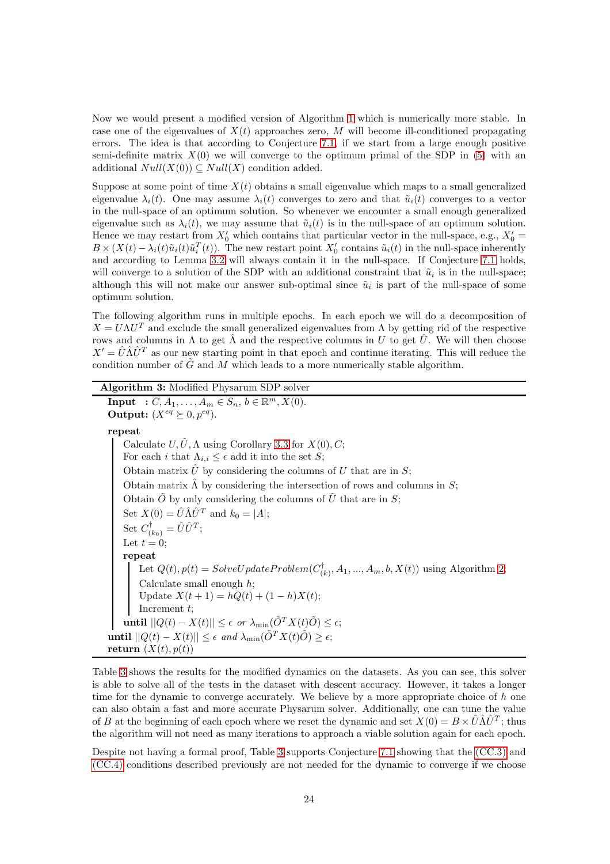Now we would present a modified version of Algorithm [1](#page-21-1) which is numerically more stable. In case one of the eigenvalues of  $X(t)$  approaches zero, M will become ill-conditioned propagating errors. The idea is that according to Conjecture [7.1,](#page-22-1) if we start from a large enough positive semi-definite matrix  $X(0)$  we will converge to the optimum primal of the SDP in [\(5\)](#page-2-0) with an additional  $Null(X(0)) \subseteq Null(X)$  condition added.

Suppose at some point of time  $X(t)$  obtains a small eigenvalue which maps to a small generalized eigenvalue  $\lambda_i(t)$ . One may assume  $\lambda_i(t)$  converges to zero and that  $\tilde{u}_i(t)$  converges to a vector in the null-space of an optimum solution. So whenever we encounter a small enough generalized eigenvalue such as  $\lambda_i(t)$ , we may assume that  $\tilde{u}_i(t)$  is in the null-space of an optimum solution. Hence we may restart from  $X'_0$  which contains that particular vector in the null-space, e.g.,  $X'_0$  =  $B \times (X(t) - \lambda_i(t)\tilde{u}_i(t)\tilde{u}_i^T(t))$ . The new restart point  $X'_0$  contains  $\tilde{u}_i(t)$  in the null-space inherently and according to Lemma [3.2](#page-5-0) will always contain it in the null-space. If Conjecture [7.1](#page-22-1) holds, will converge to a solution of the SDP with an additional constraint that  $\tilde{u}_i$  is in the null-space; although this will not make our answer sub-optimal since  $\tilde{u}_i$  is part of the null-space of some optimum solution.

The following algorithm runs in multiple epochs. In each epoch we will do a decomposition of  $X = U\Lambda U^T$  and exclude the small generalized eigenvalues from  $\Lambda$  by getting rid of the respective rows and columns in  $\Lambda$  to get  $\hat{\Lambda}$  and the respective columns in U to get  $\hat{U}$ . We will then choose  $X' = \hat{U} \hat{\Lambda} \hat{U}^T$  as our new starting point in that epoch and continue iterating. This will reduce the condition number of  $\tilde{G}$  and M which leads to a more numerically stable algorithm.

### Algorithm 3: Modified Physarum SDP solver

<span id="page-23-0"></span>**Input** :  $C, A_1, ..., A_m \in S_n, b \in \mathbb{R}^m, X(0)$ . Output:  $(X^{eq} \succeq 0, p^{eq})$ . repeat Calculate  $U, \tilde{U}, \Lambda$  using Corollary [3.3](#page-7-1) for  $X(0), C$ ; For each i that  $\Lambda_{i,i} \leq \epsilon$  add it into the set S; Obtain matrix  $\hat{U}$  by considering the columns of U that are in S; Obtain matrix  $\hat{\Lambda}$  by considering the intersection of rows and columns in S; Obtain  $\tilde{O}$  by only considering the columns of  $\tilde{U}$  that are in S; Set  $X(0) = \hat{U} \hat{\Lambda} \hat{U}^T$  and  $k_0 = |A|$ ; Set  $C^{\dagger}_{(k_0)} = \hat{U}\hat{U}^T;$ Let  $t = 0$ ; repeat Let  $Q(t)$ ,  $p(t) = SolveUpdateProblem(C<sub>0</sub><sup>†</sup>)$  $(A_{(k)}^{\dagger}, A_1, ..., A_m, b, X(t))$  using Algorithm [2;](#page-21-0) Calculate small enough  $h$ ; Update  $X(t + 1) = hQ(t) + (1 - h)X(t);$ Increment  $t$ ; until  $||Q(t) - X(t)|| \leq \epsilon$  or  $\lambda_{\min}(\tilde{O}^T X(t) \tilde{O}) \leq \epsilon$ ; until  $||Q(t) - X(t)|| \leq \epsilon$  and  $\lambda_{\min}(\tilde{O}^T X(t) \tilde{O}) \geq \epsilon$ ; return  $(X(t), p(t))$ 

Table [3](#page-24-0) shows the results for the modified dynamics on the datasets. As you can see, this solver is able to solve all of the tests in the dataset with descent accuracy. However, it takes a longer time for the dynamic to converge accurately. We believe by a more appropriate choice of h one can also obtain a fast and more accurate Physarum solver. Additionally, one can tune the value of B at the beginning of each epoch where we reset the dynamic and set  $X(0) = B \times \hat{U} \hat{\Lambda} \hat{U}^T$ ; thus the algorithm will not need as many iterations to approach a viable solution again for each epoch.

Despite not having a formal proof, Table [3](#page-24-0) supports Conjecture [7.1](#page-22-1) showing that the [\(CC.3\)](#page-3-4) and [\(CC.4\)](#page-3-5) conditions described previously are not needed for the dynamic to converge if we choose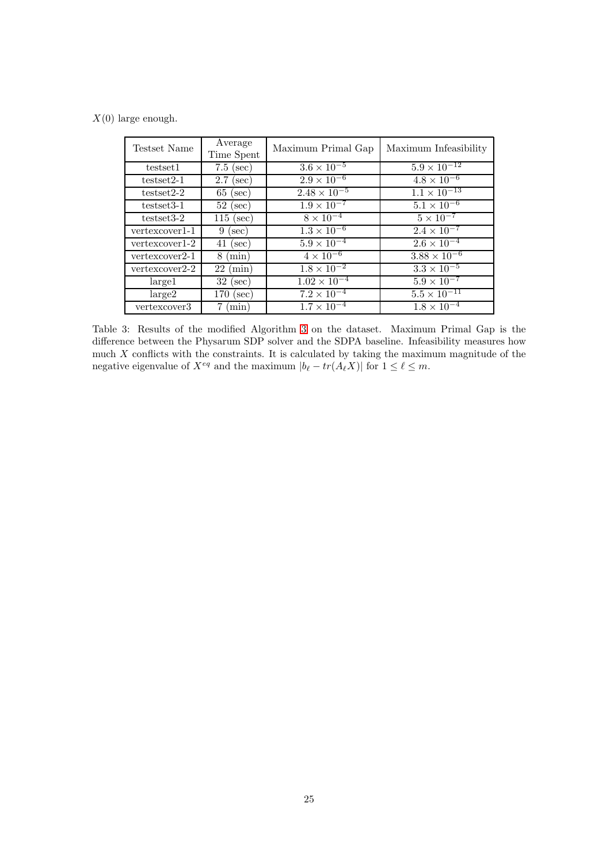$X(0)$  large enough.

| Testset Name   | Average<br>Time Spent | Maximum Primal Gap    | Maximum Infeasibility |
|----------------|-----------------------|-----------------------|-----------------------|
| testset1       | $7.5$ (sec)           | $3.6 \times 10^{-5}$  | $5.9 \times 10^{-12}$ |
| $testset2-1$   | $2.7$ (sec)           | $2.9 \times 10^{-6}$  | $4.8 \times 10^{-6}$  |
| $testset2-2$   | $65$ (sec)            | $2.48 \times 10^{-5}$ | $1.1 \times 10^{-13}$ |
| $testset3-1$   | $52$ (sec)            | $1.9 \times 10^{-7}$  | $5.1 \times 10^{-6}$  |
| $testset3-2$   | $115$ (sec)           | $8 \times 10^{-4}$    | $5 \times 10^{-7}$    |
| vertexcover1-1 | $9$ (sec)             | $1.3 \times 10^{-6}$  | $2.4 \times 10^{-7}$  |
| vertexcover1-2 | $41$ (sec)            | $5.9 \times 10^{-4}$  | $2.6 \times 10^{-4}$  |
| vertexcover2-1 | $8 \ (min)$           | $4 \times 10^{-6}$    | $3.88 \times 10^{-6}$ |
| vertexcover2-2 | $22 \; (\text{min})$  | $1.8 \times 10^{-2}$  | $3.3 \times 10^{-5}$  |
| large1         | $32$ (sec)            | $1.02 \times 10^{-4}$ | $5.9 \times 10^{-7}$  |
| large 2        | $170$ (sec)           | $7.2 \times 10^{-4}$  | $5.5 \times 10^{-11}$ |
| vertexcover3   | $7 \text{ (min)}$     | $1.7 \times 10^{-4}$  | $1.8 \times 10^{-4}$  |

<span id="page-24-0"></span>Table 3: Results of the modified Algorithm [3](#page-23-0) on the dataset. Maximum Primal Gap is the difference between the Physarum SDP solver and the SDPA baseline. Infeasibility measures how much  $X$  conflicts with the constraints. It is calculated by taking the maximum magnitude of the negative eigenvalue of  $X^{eq}$  and the maximum  $|b_{\ell} - tr(A_{\ell}X)|$  for  $1 \leq \ell \leq m$ .